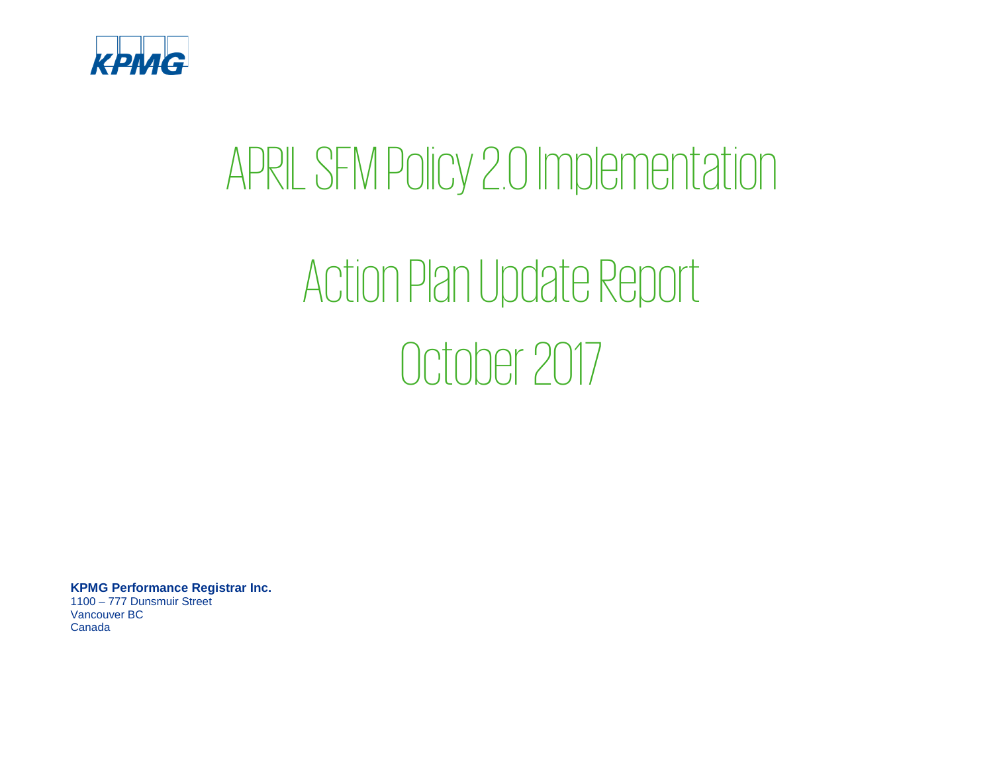

## APRIL SFM Policy 2.0 Implementation

# Action Plan Update Report October 2017

**KPMG Performance Registrar Inc.** 1100 – 777 Dunsmuir Street Vancouver BC Canada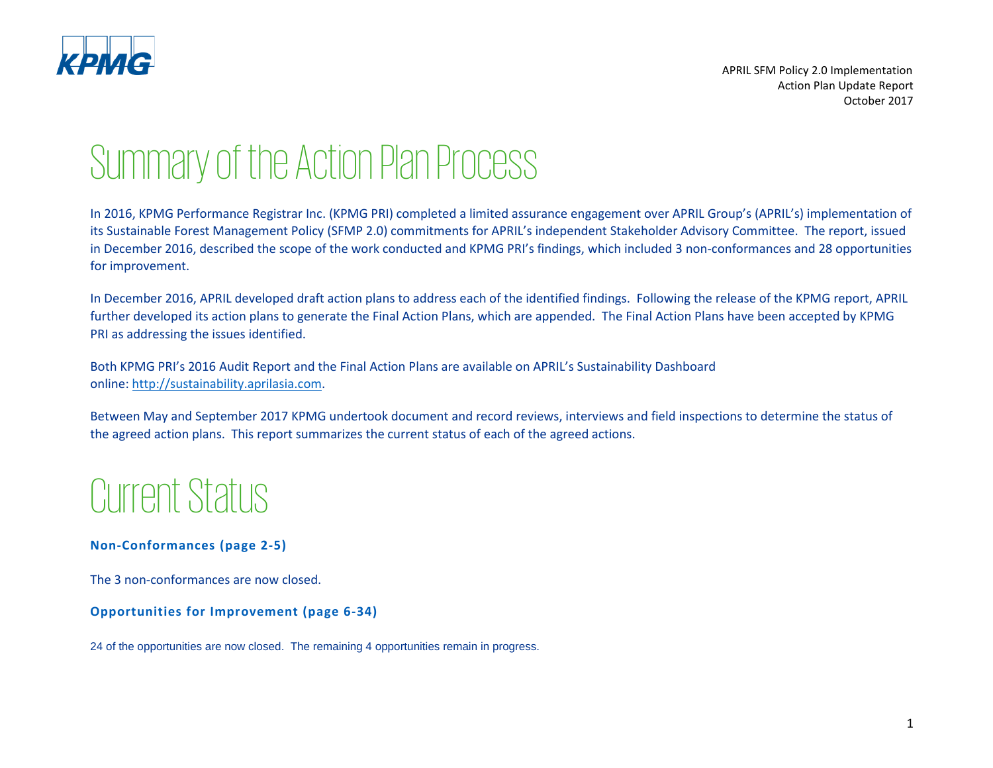

### Summary of the Action Plan Process

In 2016, KPMG Performance Registrar Inc. (KPMG PRI) completed a limited assurance engagement over APRIL Group's (APRIL's) implementation of its Sustainable Forest Management Policy (SFMP 2.0) commitments for APRIL's independent Stakeholder Advisory Committee. The report, issued in December 2016, described the scope of the work conducted and KPMG PRI's findings, which included 3 non-conformances and 28 opportunities for improvement.

In December 2016, APRIL developed draft action plans to address each of the identified findings. Following the release of the KPMG report, APRIL further developed its action plans to generate the Final Action Plans, which are appended. The Final Action Plans have been accepted by KPMG PRI as addressing the issues identified.

Both KPMG PRI's 2016 Audit Report and the Final Action Plans are available on APRIL's Sustainability Dashboard online: [http://sustainability.aprilasia.com.](http://sustainability.aprilasia.com/)

Between May and September 2017 KPMG undertook document and record reviews, interviews and field inspections to determine the status of the agreed action plans. This report summarizes the current status of each of the agreed actions.

### Current Status

#### **Non-Conformances (page 2-5)**

The 3 non-conformances are now closed.

#### **Opportunities for Improvement (page 6-34)**

24 of the opportunities are now closed. The remaining 4 opportunities remain in progress.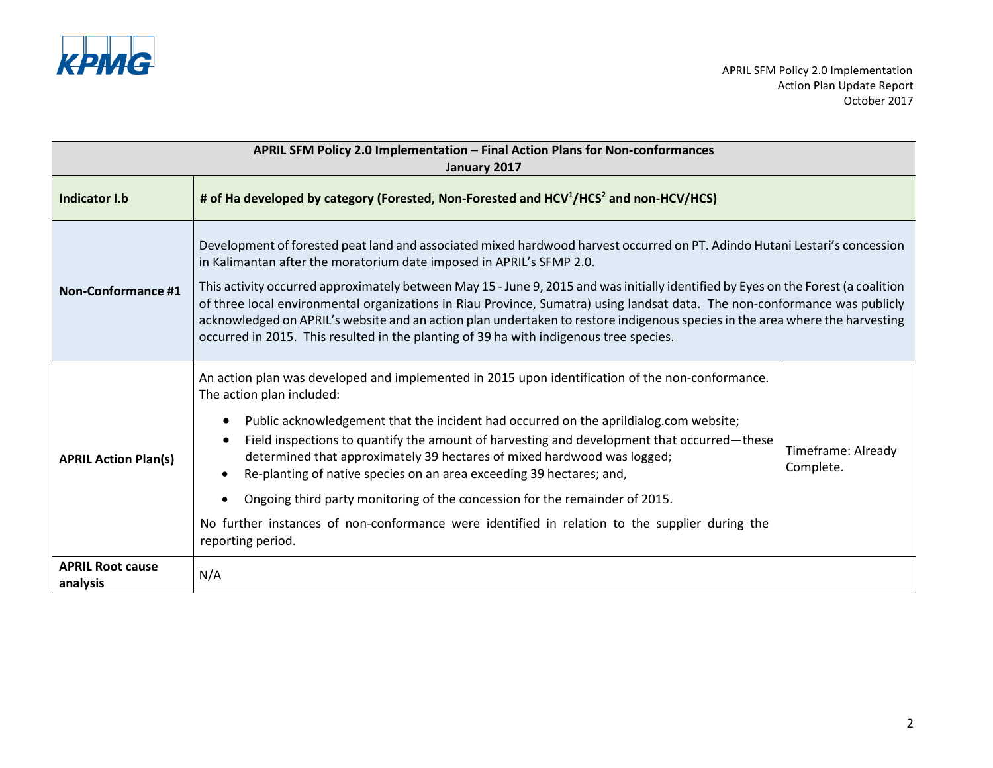

| APRIL SFM Policy 2.0 Implementation - Final Action Plans for Non-conformances<br>January 2017 |                                                                                                                                                                                                                                                                                                                                                                                                                                                                                                                                                                                                                                                                                                  |                                 |
|-----------------------------------------------------------------------------------------------|--------------------------------------------------------------------------------------------------------------------------------------------------------------------------------------------------------------------------------------------------------------------------------------------------------------------------------------------------------------------------------------------------------------------------------------------------------------------------------------------------------------------------------------------------------------------------------------------------------------------------------------------------------------------------------------------------|---------------------------------|
| <b>Indicator I.b</b>                                                                          | # of Ha developed by category (Forested, Non-Forested and HCV <sup>1</sup> /HCS <sup>2</sup> and non-HCV/HCS)                                                                                                                                                                                                                                                                                                                                                                                                                                                                                                                                                                                    |                                 |
| <b>Non-Conformance #1</b>                                                                     | Development of forested peat land and associated mixed hardwood harvest occurred on PT. Adindo Hutani Lestari's concession<br>in Kalimantan after the moratorium date imposed in APRIL's SFMP 2.0.<br>This activity occurred approximately between May 15 - June 9, 2015 and was initially identified by Eyes on the Forest (a coalition<br>of three local environmental organizations in Riau Province, Sumatra) using landsat data. The non-conformance was publicly<br>acknowledged on APRIL's website and an action plan undertaken to restore indigenous species in the area where the harvesting<br>occurred in 2015. This resulted in the planting of 39 ha with indigenous tree species. |                                 |
| <b>APRIL Action Plan(s)</b>                                                                   | An action plan was developed and implemented in 2015 upon identification of the non-conformance.<br>The action plan included:<br>Public acknowledgement that the incident had occurred on the aprildialog.com website;<br>Field inspections to quantify the amount of harvesting and development that occurred—these<br>determined that approximately 39 hectares of mixed hardwood was logged;<br>Re-planting of native species on an area exceeding 39 hectares; and,<br>Ongoing third party monitoring of the concession for the remainder of 2015.<br>No further instances of non-conformance were identified in relation to the supplier during the<br>reporting period.                    | Timeframe: Already<br>Complete. |
| <b>APRIL Root cause</b><br>analysis                                                           | N/A                                                                                                                                                                                                                                                                                                                                                                                                                                                                                                                                                                                                                                                                                              |                                 |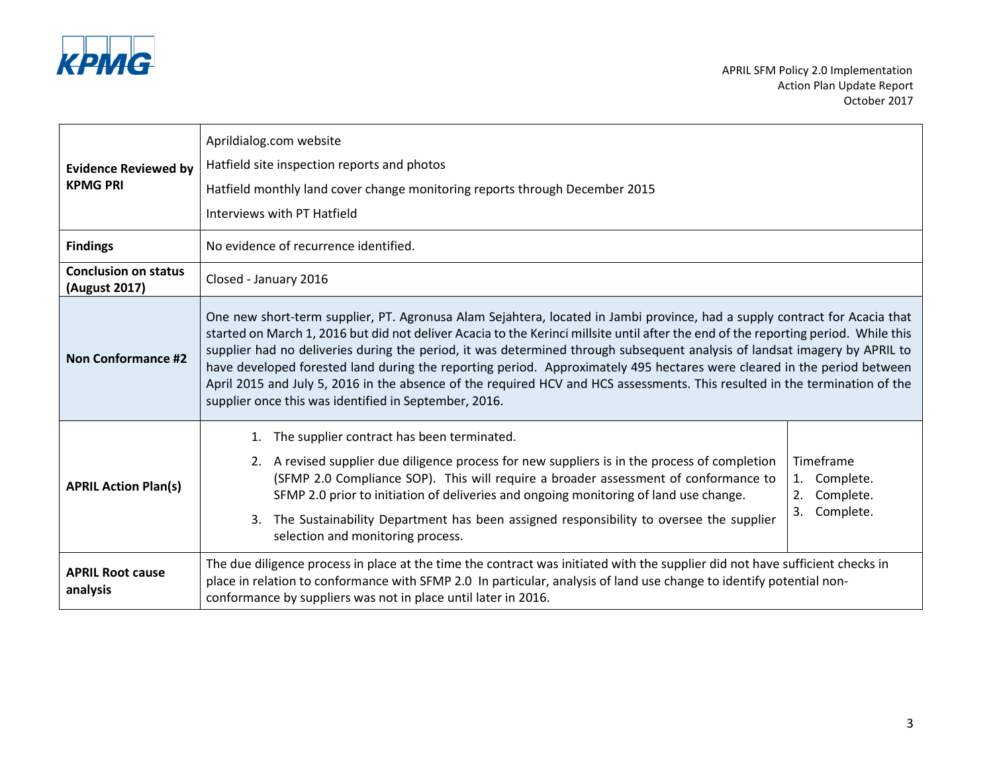

| <b>Evidence Reviewed by</b><br><b>KPMG PRI</b> | Aprildialog.com website<br>Hatfield site inspection reports and photos<br>Hatfield monthly land cover change monitoring reports through December 2015<br>Interviews with PT Hatfield                                                                                                                                                                                                                                                                                                                                                                                                                                                                                                                               |                                                                 |
|------------------------------------------------|--------------------------------------------------------------------------------------------------------------------------------------------------------------------------------------------------------------------------------------------------------------------------------------------------------------------------------------------------------------------------------------------------------------------------------------------------------------------------------------------------------------------------------------------------------------------------------------------------------------------------------------------------------------------------------------------------------------------|-----------------------------------------------------------------|
| <b>Findings</b>                                | No evidence of recurrence identified.                                                                                                                                                                                                                                                                                                                                                                                                                                                                                                                                                                                                                                                                              |                                                                 |
| <b>Conclusion on status</b><br>(August 2017)   | Closed - January 2016                                                                                                                                                                                                                                                                                                                                                                                                                                                                                                                                                                                                                                                                                              |                                                                 |
| <b>Non Conformance #2</b>                      | One new short-term supplier, PT. Agronusa Alam Sejahtera, located in Jambi province, had a supply contract for Acacia that<br>started on March 1, 2016 but did not deliver Acacia to the Kerinci millsite until after the end of the reporting period. While this<br>supplier had no deliveries during the period, it was determined through subsequent analysis of landsat imagery by APRIL to<br>have developed forested land during the reporting period. Approximately 495 hectares were cleared in the period between<br>April 2015 and July 5, 2016 in the absence of the required HCV and HCS assessments. This resulted in the termination of the<br>supplier once this was identified in September, 2016. |                                                                 |
| <b>APRIL Action Plan(s)</b>                    | The supplier contract has been terminated.<br>1.<br>2. A revised supplier due diligence process for new suppliers is in the process of completion<br>(SFMP 2.0 Compliance SOP). This will require a broader assessment of conformance to<br>SFMP 2.0 prior to initiation of deliveries and ongoing monitoring of land use change.<br>The Sustainability Department has been assigned responsibility to oversee the supplier<br>3.<br>selection and monitoring process.                                                                                                                                                                                                                                             | Timeframe<br>1. Complete.<br>Complete.<br>2.<br>3.<br>Complete. |
| <b>APRIL Root cause</b><br>analysis            | The due diligence process in place at the time the contract was initiated with the supplier did not have sufficient checks in<br>place in relation to conformance with SFMP 2.0 In particular, analysis of land use change to identify potential non-<br>conformance by suppliers was not in place until later in 2016.                                                                                                                                                                                                                                                                                                                                                                                            |                                                                 |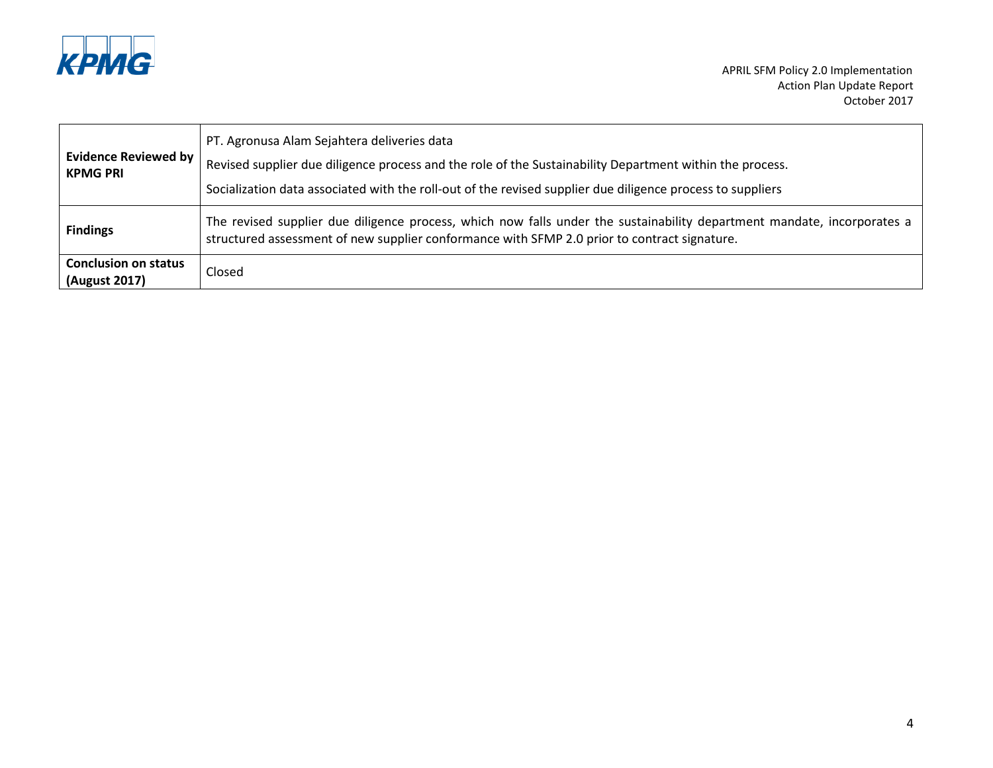

| PT. Agronusa Alam Sejahtera deliveries data<br><b>Evidence Reviewed by</b><br>Revised supplier due diligence process and the role of the Sustainability Department within the process.<br><b>KPMG PRI</b><br>Socialization data associated with the roll-out of the revised supplier due diligence process to suppliers |                                                                                                                                                                                                                         |
|-------------------------------------------------------------------------------------------------------------------------------------------------------------------------------------------------------------------------------------------------------------------------------------------------------------------------|-------------------------------------------------------------------------------------------------------------------------------------------------------------------------------------------------------------------------|
| <b>Findings</b>                                                                                                                                                                                                                                                                                                         | The revised supplier due diligence process, which now falls under the sustainability department mandate, incorporates a<br>structured assessment of new supplier conformance with SFMP 2.0 prior to contract signature. |
| <b>Conclusion on status</b><br>(August 2017)                                                                                                                                                                                                                                                                            | Closed                                                                                                                                                                                                                  |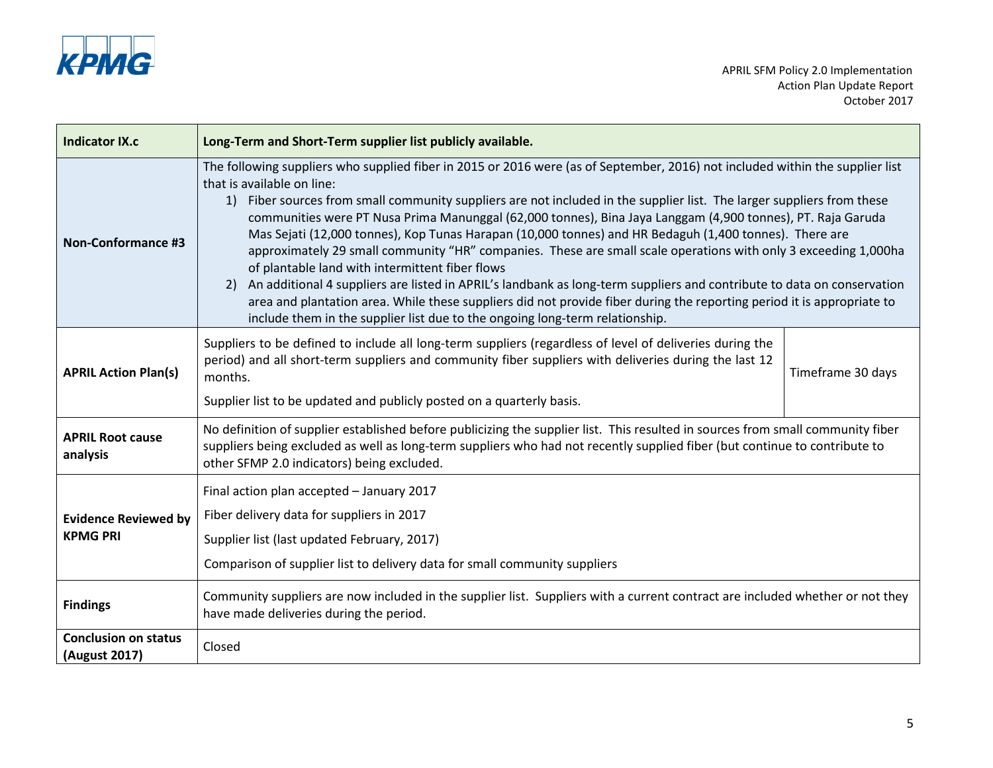

| <b>Indicator IX.c</b>                          | Long-Term and Short-Term supplier list publicly available.                                                                                                                                                                                                                                                                                                                                                                                                                                                                                                                                                                                                                                                                                                                                                                                                                                                                                                                                                                              |                   |
|------------------------------------------------|-----------------------------------------------------------------------------------------------------------------------------------------------------------------------------------------------------------------------------------------------------------------------------------------------------------------------------------------------------------------------------------------------------------------------------------------------------------------------------------------------------------------------------------------------------------------------------------------------------------------------------------------------------------------------------------------------------------------------------------------------------------------------------------------------------------------------------------------------------------------------------------------------------------------------------------------------------------------------------------------------------------------------------------------|-------------------|
| <b>Non-Conformance #3</b>                      | The following suppliers who supplied fiber in 2015 or 2016 were (as of September, 2016) not included within the supplier list<br>that is available on line:<br>Fiber sources from small community suppliers are not included in the supplier list. The larger suppliers from these<br>1)<br>communities were PT Nusa Prima Manunggal (62,000 tonnes), Bina Jaya Langgam (4,900 tonnes), PT. Raja Garuda<br>Mas Sejati (12,000 tonnes), Kop Tunas Harapan (10,000 tonnes) and HR Bedaguh (1,400 tonnes). There are<br>approximately 29 small community "HR" companies. These are small scale operations with only 3 exceeding 1,000ha<br>of plantable land with intermittent fiber flows<br>An additional 4 suppliers are listed in APRIL's landbank as long-term suppliers and contribute to data on conservation<br><b>2</b><br>area and plantation area. While these suppliers did not provide fiber during the reporting period it is appropriate to<br>include them in the supplier list due to the ongoing long-term relationship. |                   |
| <b>APRIL Action Plan(s)</b>                    | Suppliers to be defined to include all long-term suppliers (regardless of level of deliveries during the<br>period) and all short-term suppliers and community fiber suppliers with deliveries during the last 12<br>months.<br>Supplier list to be updated and publicly posted on a quarterly basis.                                                                                                                                                                                                                                                                                                                                                                                                                                                                                                                                                                                                                                                                                                                                   | Timeframe 30 days |
| <b>APRIL Root cause</b><br>analysis            | No definition of supplier established before publicizing the supplier list. This resulted in sources from small community fiber<br>suppliers being excluded as well as long-term suppliers who had not recently supplied fiber (but continue to contribute to<br>other SFMP 2.0 indicators) being excluded.                                                                                                                                                                                                                                                                                                                                                                                                                                                                                                                                                                                                                                                                                                                             |                   |
| <b>Evidence Reviewed by</b><br><b>KPMG PRI</b> | Final action plan accepted - January 2017<br>Fiber delivery data for suppliers in 2017<br>Supplier list (last updated February, 2017)<br>Comparison of supplier list to delivery data for small community suppliers                                                                                                                                                                                                                                                                                                                                                                                                                                                                                                                                                                                                                                                                                                                                                                                                                     |                   |
| <b>Findings</b>                                | Community suppliers are now included in the supplier list. Suppliers with a current contract are included whether or not they<br>have made deliveries during the period.                                                                                                                                                                                                                                                                                                                                                                                                                                                                                                                                                                                                                                                                                                                                                                                                                                                                |                   |
| <b>Conclusion on status</b><br>(August 2017)   | Closed                                                                                                                                                                                                                                                                                                                                                                                                                                                                                                                                                                                                                                                                                                                                                                                                                                                                                                                                                                                                                                  |                   |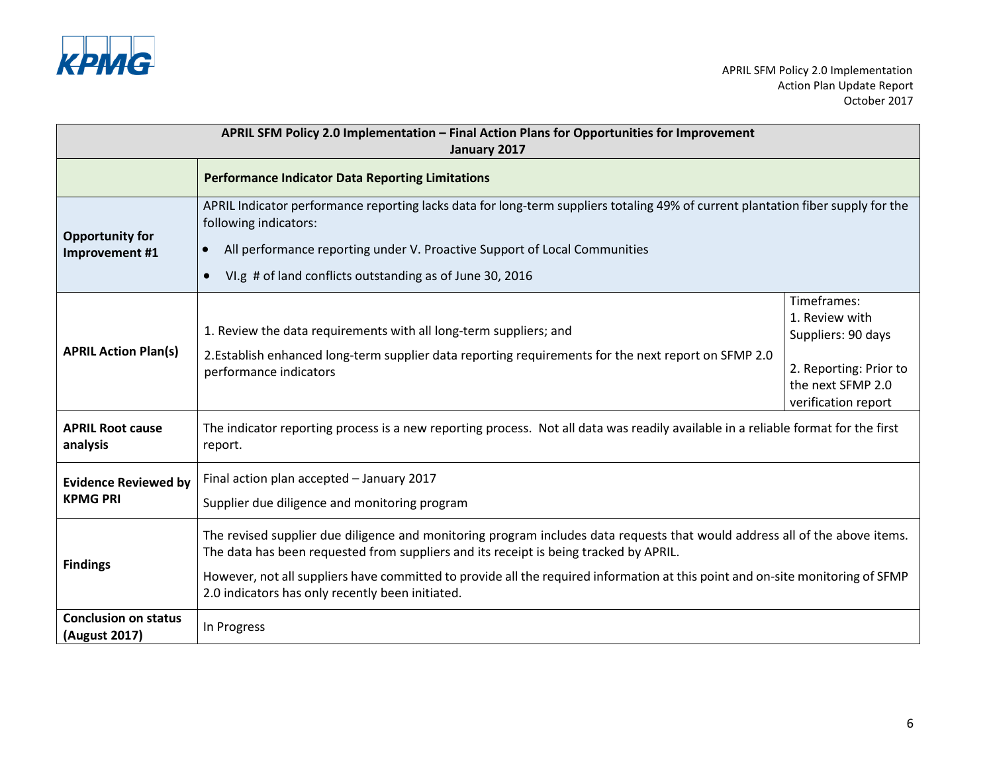

| APRIL SFM Policy 2.0 Implementation - Final Action Plans for Opportunities for Improvement<br>January 2017                                                                                                                                                                                                                                                  |                                                                                                                                                                                                                                                                                                                                                                                                            |                                                                                                                           |
|-------------------------------------------------------------------------------------------------------------------------------------------------------------------------------------------------------------------------------------------------------------------------------------------------------------------------------------------------------------|------------------------------------------------------------------------------------------------------------------------------------------------------------------------------------------------------------------------------------------------------------------------------------------------------------------------------------------------------------------------------------------------------------|---------------------------------------------------------------------------------------------------------------------------|
|                                                                                                                                                                                                                                                                                                                                                             | <b>Performance Indicator Data Reporting Limitations</b>                                                                                                                                                                                                                                                                                                                                                    |                                                                                                                           |
| APRIL Indicator performance reporting lacks data for long-term suppliers totaling 49% of current plantation fiber supply for the<br>following indicators:<br><b>Opportunity for</b><br>All performance reporting under V. Proactive Support of Local Communities<br>$\bullet$<br>Improvement #1<br>VI.g # of land conflicts outstanding as of June 30, 2016 |                                                                                                                                                                                                                                                                                                                                                                                                            |                                                                                                                           |
| <b>APRIL Action Plan(s)</b>                                                                                                                                                                                                                                                                                                                                 | 1. Review the data requirements with all long-term suppliers; and<br>2. Establish enhanced long-term supplier data reporting requirements for the next report on SFMP 2.0<br>performance indicators                                                                                                                                                                                                        | Timeframes:<br>1. Review with<br>Suppliers: 90 days<br>2. Reporting: Prior to<br>the next SFMP 2.0<br>verification report |
| <b>APRIL Root cause</b><br>analysis                                                                                                                                                                                                                                                                                                                         | The indicator reporting process is a new reporting process. Not all data was readily available in a reliable format for the first<br>report.                                                                                                                                                                                                                                                               |                                                                                                                           |
| <b>Evidence Reviewed by</b><br><b>KPMG PRI</b>                                                                                                                                                                                                                                                                                                              | Final action plan accepted - January 2017<br>Supplier due diligence and monitoring program                                                                                                                                                                                                                                                                                                                 |                                                                                                                           |
| <b>Findings</b>                                                                                                                                                                                                                                                                                                                                             | The revised supplier due diligence and monitoring program includes data requests that would address all of the above items.<br>The data has been requested from suppliers and its receipt is being tracked by APRIL.<br>However, not all suppliers have committed to provide all the required information at this point and on-site monitoring of SFMP<br>2.0 indicators has only recently been initiated. |                                                                                                                           |
| <b>Conclusion on status</b><br>(August 2017)                                                                                                                                                                                                                                                                                                                | In Progress                                                                                                                                                                                                                                                                                                                                                                                                |                                                                                                                           |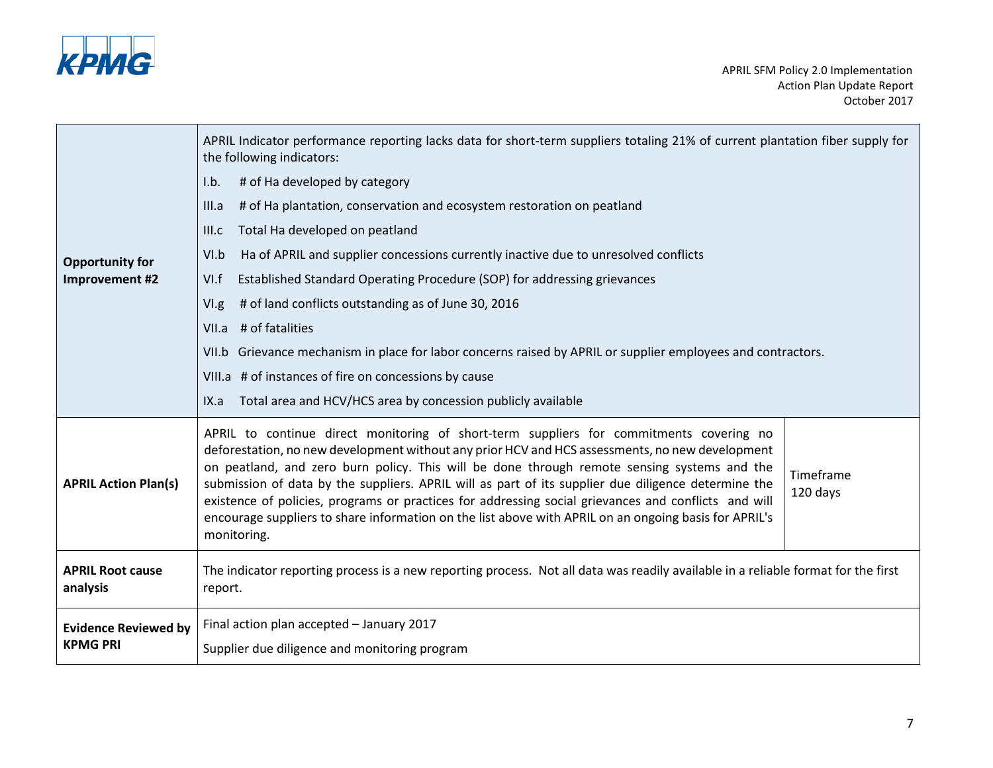

| <b>Opportunity for</b><br>Improvement #2 | APRIL Indicator performance reporting lacks data for short-term suppliers totaling 21% of current plantation fiber supply for<br>the following indicators:<br># of Ha developed by category<br>I.b.<br># of Ha plantation, conservation and ecosystem restoration on peatland<br>III.a<br>Total Ha developed on peatland<br>III.c<br>Ha of APRIL and supplier concessions currently inactive due to unresolved conflicts<br>VI.b<br>Established Standard Operating Procedure (SOP) for addressing grievances<br>VI.f<br># of land conflicts outstanding as of June 30, 2016<br>V <sub>1,g</sub><br>VII.a # of fatalities<br>VII.b Grievance mechanism in place for labor concerns raised by APRIL or supplier employees and contractors.<br>VIII.a # of instances of fire on concessions by cause<br>Total area and HCV/HCS area by concession publicly available<br>IX.a |  |
|------------------------------------------|---------------------------------------------------------------------------------------------------------------------------------------------------------------------------------------------------------------------------------------------------------------------------------------------------------------------------------------------------------------------------------------------------------------------------------------------------------------------------------------------------------------------------------------------------------------------------------------------------------------------------------------------------------------------------------------------------------------------------------------------------------------------------------------------------------------------------------------------------------------------------|--|
| <b>APRIL Action Plan(s)</b>              | APRIL to continue direct monitoring of short-term suppliers for commitments covering no<br>deforestation, no new development without any prior HCV and HCS assessments, no new development<br>on peatland, and zero burn policy. This will be done through remote sensing systems and the<br>Timeframe<br>submission of data by the suppliers. APRIL will as part of its supplier due diligence determine the<br>120 days<br>existence of policies, programs or practices for addressing social grievances and conflicts and will<br>encourage suppliers to share information on the list above with APRIL on an ongoing basis for APRIL's<br>monitoring.                                                                                                                                                                                                                 |  |
| <b>APRIL Root cause</b>                  | The indicator reporting process is a new reporting process. Not all data was readily available in a reliable format for the first                                                                                                                                                                                                                                                                                                                                                                                                                                                                                                                                                                                                                                                                                                                                         |  |
| analysis                                 | report.                                                                                                                                                                                                                                                                                                                                                                                                                                                                                                                                                                                                                                                                                                                                                                                                                                                                   |  |
| <b>Evidence Reviewed by</b>              | Final action plan accepted - January 2017                                                                                                                                                                                                                                                                                                                                                                                                                                                                                                                                                                                                                                                                                                                                                                                                                                 |  |
| <b>KPMG PRI</b>                          | Supplier due diligence and monitoring program                                                                                                                                                                                                                                                                                                                                                                                                                                                                                                                                                                                                                                                                                                                                                                                                                             |  |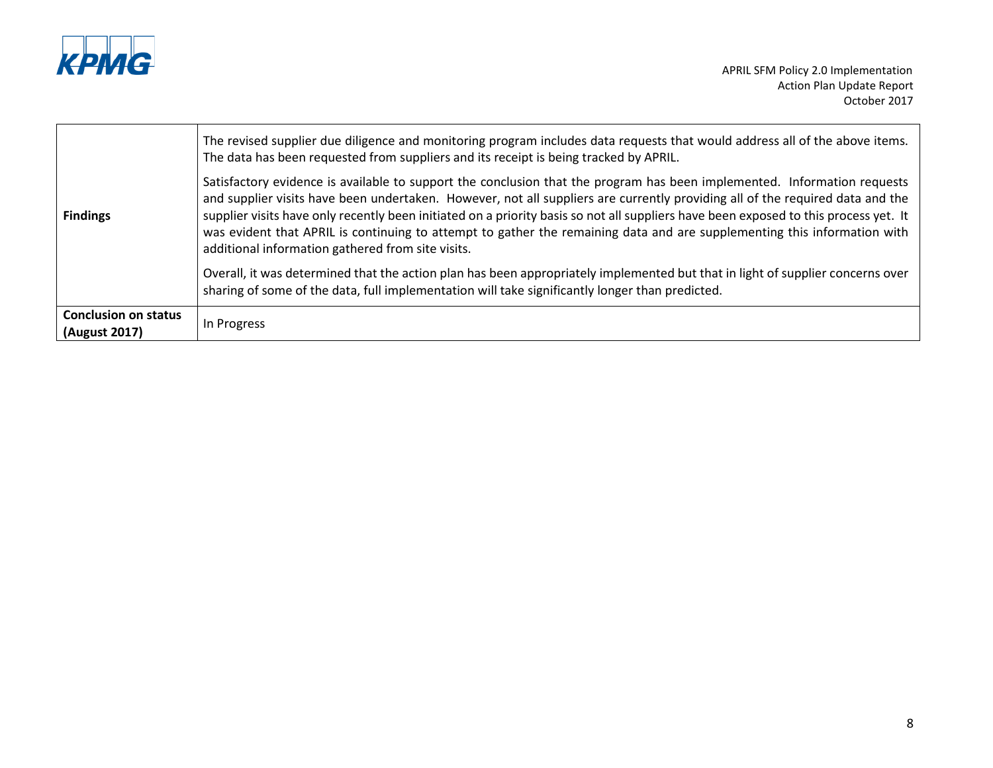

|                                              | The revised supplier due diligence and monitoring program includes data requests that would address all of the above items.<br>The data has been requested from suppliers and its receipt is being tracked by APRIL.                                                                                                                                                                                                                                                                                                                                                               |
|----------------------------------------------|------------------------------------------------------------------------------------------------------------------------------------------------------------------------------------------------------------------------------------------------------------------------------------------------------------------------------------------------------------------------------------------------------------------------------------------------------------------------------------------------------------------------------------------------------------------------------------|
| <b>Findings</b>                              | Satisfactory evidence is available to support the conclusion that the program has been implemented. Information requests<br>and supplier visits have been undertaken. However, not all suppliers are currently providing all of the required data and the<br>supplier visits have only recently been initiated on a priority basis so not all suppliers have been exposed to this process yet. It<br>was evident that APRIL is continuing to attempt to gather the remaining data and are supplementing this information with<br>additional information gathered from site visits. |
|                                              | Overall, it was determined that the action plan has been appropriately implemented but that in light of supplier concerns over<br>sharing of some of the data, full implementation will take significantly longer than predicted.                                                                                                                                                                                                                                                                                                                                                  |
| <b>Conclusion on status</b><br>(August 2017) | In Progress                                                                                                                                                                                                                                                                                                                                                                                                                                                                                                                                                                        |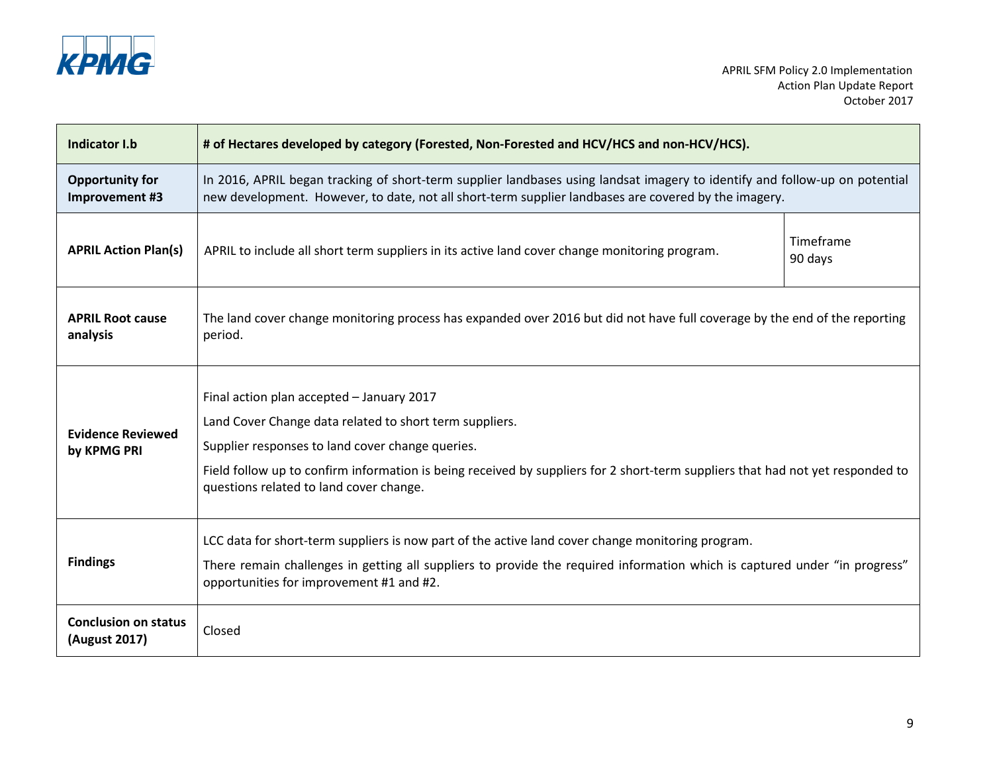

| Indicator I.b                                | # of Hectares developed by category (Forested, Non-Forested and HCV/HCS and non-HCV/HCS).                                                                                                                                                                                                                                             |                      |
|----------------------------------------------|---------------------------------------------------------------------------------------------------------------------------------------------------------------------------------------------------------------------------------------------------------------------------------------------------------------------------------------|----------------------|
| <b>Opportunity for</b><br>Improvement #3     | In 2016, APRIL began tracking of short-term supplier landbases using landsat imagery to identify and follow-up on potential<br>new development. However, to date, not all short-term supplier landbases are covered by the imagery.                                                                                                   |                      |
| <b>APRIL Action Plan(s)</b>                  | APRIL to include all short term suppliers in its active land cover change monitoring program.                                                                                                                                                                                                                                         | Timeframe<br>90 days |
| <b>APRIL Root cause</b><br>analysis          | The land cover change monitoring process has expanded over 2016 but did not have full coverage by the end of the reporting<br>period.                                                                                                                                                                                                 |                      |
| <b>Evidence Reviewed</b><br>by KPMG PRI      | Final action plan accepted - January 2017<br>Land Cover Change data related to short term suppliers.<br>Supplier responses to land cover change queries.<br>Field follow up to confirm information is being received by suppliers for 2 short-term suppliers that had not yet responded to<br>questions related to land cover change. |                      |
| <b>Findings</b>                              | LCC data for short-term suppliers is now part of the active land cover change monitoring program.<br>There remain challenges in getting all suppliers to provide the required information which is captured under "in progress"<br>opportunities for improvement #1 and #2.                                                           |                      |
| <b>Conclusion on status</b><br>(August 2017) | Closed                                                                                                                                                                                                                                                                                                                                |                      |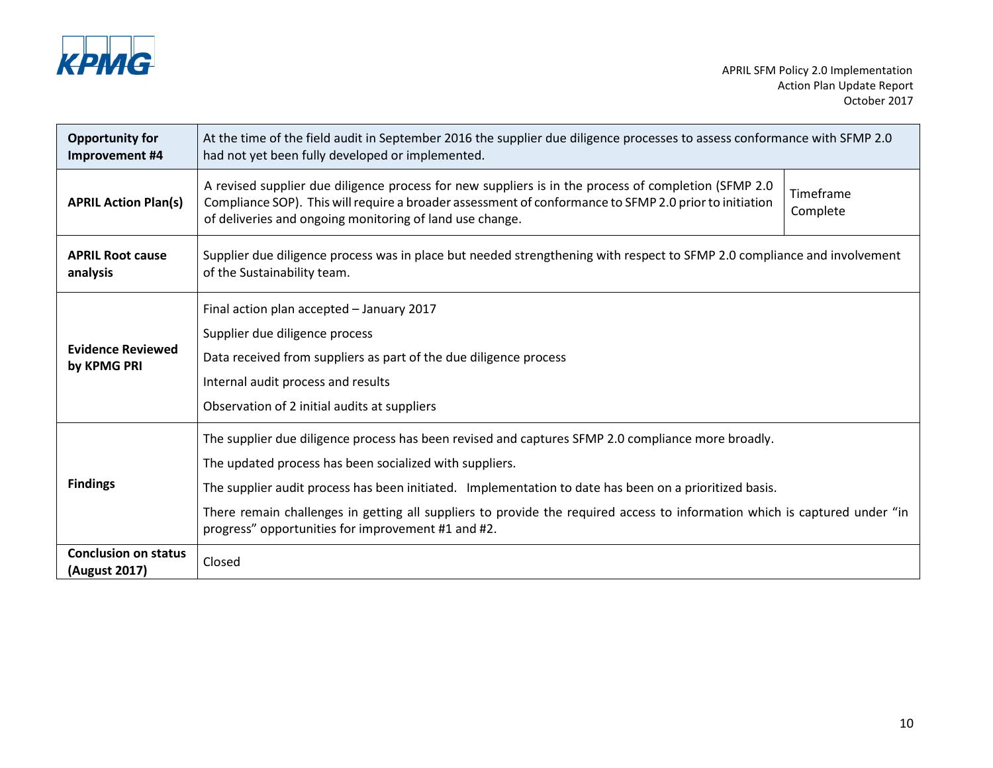

| <b>Opportunity for</b><br>Improvement #4     | At the time of the field audit in September 2016 the supplier due diligence processes to assess conformance with SFMP 2.0<br>had not yet been fully developed or implemented.                                                                                                                                                                                                                                                                               |                       |
|----------------------------------------------|-------------------------------------------------------------------------------------------------------------------------------------------------------------------------------------------------------------------------------------------------------------------------------------------------------------------------------------------------------------------------------------------------------------------------------------------------------------|-----------------------|
| <b>APRIL Action Plan(s)</b>                  | A revised supplier due diligence process for new suppliers is in the process of completion (SFMP 2.0<br>Compliance SOP). This will require a broader assessment of conformance to SFMP 2.0 prior to initiation<br>of deliveries and ongoing monitoring of land use change.                                                                                                                                                                                  | Timeframe<br>Complete |
| <b>APRIL Root cause</b><br>analysis          | Supplier due diligence process was in place but needed strengthening with respect to SFMP 2.0 compliance and involvement<br>of the Sustainability team.                                                                                                                                                                                                                                                                                                     |                       |
| <b>Evidence Reviewed</b><br>by KPMG PRI      | Final action plan accepted - January 2017<br>Supplier due diligence process<br>Data received from suppliers as part of the due diligence process<br>Internal audit process and results<br>Observation of 2 initial audits at suppliers                                                                                                                                                                                                                      |                       |
| <b>Findings</b>                              | The supplier due diligence process has been revised and captures SFMP 2.0 compliance more broadly.<br>The updated process has been socialized with suppliers.<br>The supplier audit process has been initiated. Implementation to date has been on a prioritized basis.<br>There remain challenges in getting all suppliers to provide the required access to information which is captured under "in<br>progress" opportunities for improvement #1 and #2. |                       |
| <b>Conclusion on status</b><br>(August 2017) | Closed                                                                                                                                                                                                                                                                                                                                                                                                                                                      |                       |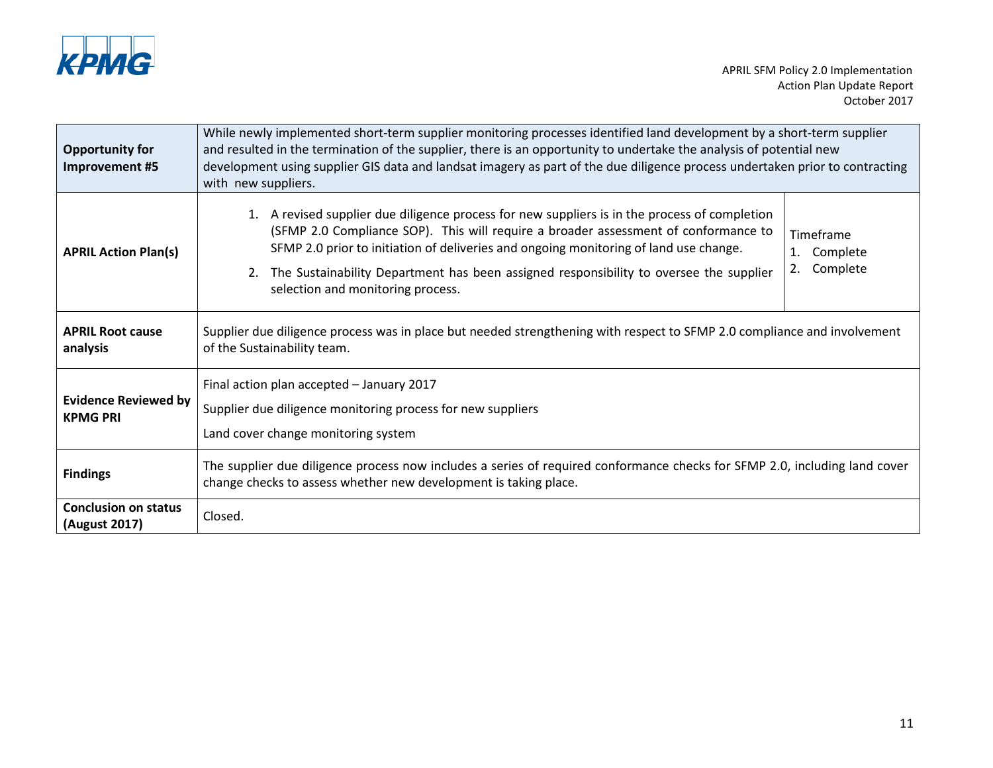

| <b>Opportunity for</b><br>Improvement #5       | While newly implemented short-term supplier monitoring processes identified land development by a short-term supplier<br>and resulted in the termination of the supplier, there is an opportunity to undertake the analysis of potential new<br>development using supplier GIS data and landsat imagery as part of the due diligence process undertaken prior to contracting<br>with new suppliers.                   |                                               |
|------------------------------------------------|-----------------------------------------------------------------------------------------------------------------------------------------------------------------------------------------------------------------------------------------------------------------------------------------------------------------------------------------------------------------------------------------------------------------------|-----------------------------------------------|
| <b>APRIL Action Plan(s)</b>                    | A revised supplier due diligence process for new suppliers is in the process of completion<br>1.<br>(SFMP 2.0 Compliance SOP). This will require a broader assessment of conformance to<br>SFMP 2.0 prior to initiation of deliveries and ongoing monitoring of land use change.<br>The Sustainability Department has been assigned responsibility to oversee the supplier<br>2.<br>selection and monitoring process. | Timeframe<br>Complete<br>1.<br>Complete<br>2. |
| <b>APRIL Root cause</b><br>analysis            | Supplier due diligence process was in place but needed strengthening with respect to SFMP 2.0 compliance and involvement<br>of the Sustainability team.                                                                                                                                                                                                                                                               |                                               |
| <b>Evidence Reviewed by</b><br><b>KPMG PRI</b> | Final action plan accepted - January 2017<br>Supplier due diligence monitoring process for new suppliers<br>Land cover change monitoring system                                                                                                                                                                                                                                                                       |                                               |
| <b>Findings</b>                                | The supplier due diligence process now includes a series of required conformance checks for SFMP 2.0, including land cover<br>change checks to assess whether new development is taking place.                                                                                                                                                                                                                        |                                               |
| <b>Conclusion on status</b><br>(August 2017)   | Closed.                                                                                                                                                                                                                                                                                                                                                                                                               |                                               |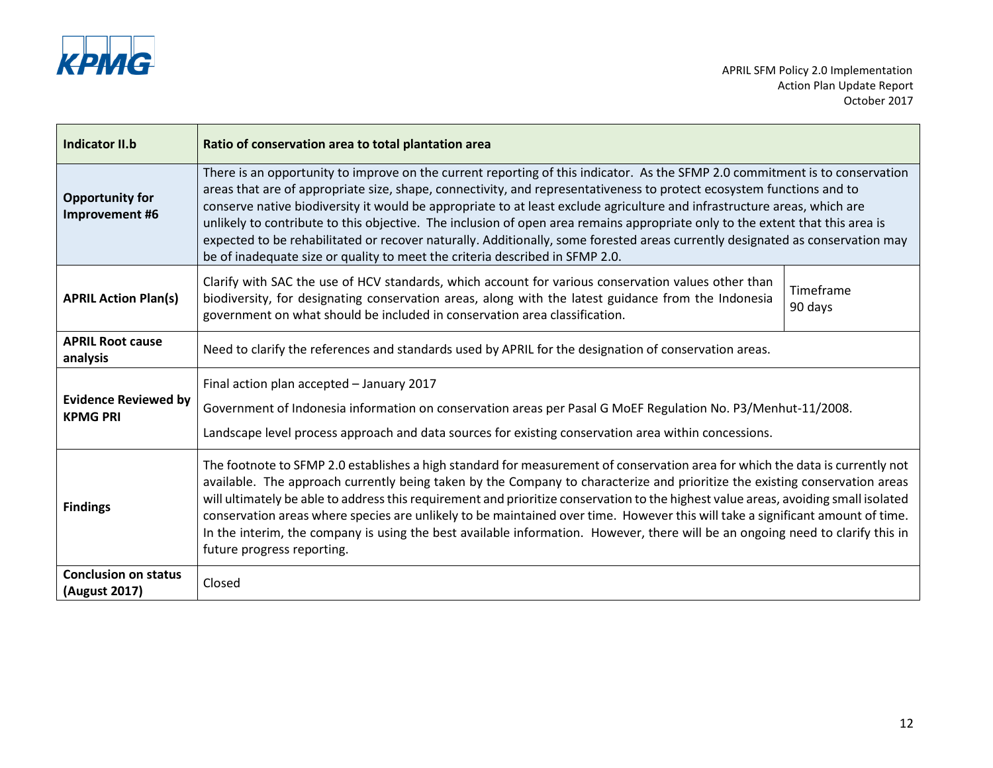

| Indicator II.b                                 | Ratio of conservation area to total plantation area                                                                                                                                                                                                                                                                                                                                                                                                                                                                                                                                                                                                                                                                                 |                      |
|------------------------------------------------|-------------------------------------------------------------------------------------------------------------------------------------------------------------------------------------------------------------------------------------------------------------------------------------------------------------------------------------------------------------------------------------------------------------------------------------------------------------------------------------------------------------------------------------------------------------------------------------------------------------------------------------------------------------------------------------------------------------------------------------|----------------------|
| <b>Opportunity for</b><br>Improvement #6       | There is an opportunity to improve on the current reporting of this indicator. As the SFMP 2.0 commitment is to conservation<br>areas that are of appropriate size, shape, connectivity, and representativeness to protect ecosystem functions and to<br>conserve native biodiversity it would be appropriate to at least exclude agriculture and infrastructure areas, which are<br>unlikely to contribute to this objective. The inclusion of open area remains appropriate only to the extent that this area is<br>expected to be rehabilitated or recover naturally. Additionally, some forested areas currently designated as conservation may<br>be of inadequate size or quality to meet the criteria described in SFMP 2.0. |                      |
| <b>APRIL Action Plan(s)</b>                    | Clarify with SAC the use of HCV standards, which account for various conservation values other than<br>biodiversity, for designating conservation areas, along with the latest guidance from the Indonesia<br>government on what should be included in conservation area classification.                                                                                                                                                                                                                                                                                                                                                                                                                                            | Timeframe<br>90 days |
| <b>APRIL Root cause</b><br>analysis            | Need to clarify the references and standards used by APRIL for the designation of conservation areas.                                                                                                                                                                                                                                                                                                                                                                                                                                                                                                                                                                                                                               |                      |
| <b>Evidence Reviewed by</b><br><b>KPMG PRI</b> | Final action plan accepted - January 2017<br>Government of Indonesia information on conservation areas per Pasal G MoEF Regulation No. P3/Menhut-11/2008.<br>Landscape level process approach and data sources for existing conservation area within concessions.                                                                                                                                                                                                                                                                                                                                                                                                                                                                   |                      |
| <b>Findings</b>                                | The footnote to SFMP 2.0 establishes a high standard for measurement of conservation area for which the data is currently not<br>available. The approach currently being taken by the Company to characterize and prioritize the existing conservation areas<br>will ultimately be able to address this requirement and prioritize conservation to the highest value areas, avoiding small isolated<br>conservation areas where species are unlikely to be maintained over time. However this will take a significant amount of time.<br>In the interim, the company is using the best available information. However, there will be an ongoing need to clarify this in<br>future progress reporting.                               |                      |
| <b>Conclusion on status</b><br>(August 2017)   | Closed                                                                                                                                                                                                                                                                                                                                                                                                                                                                                                                                                                                                                                                                                                                              |                      |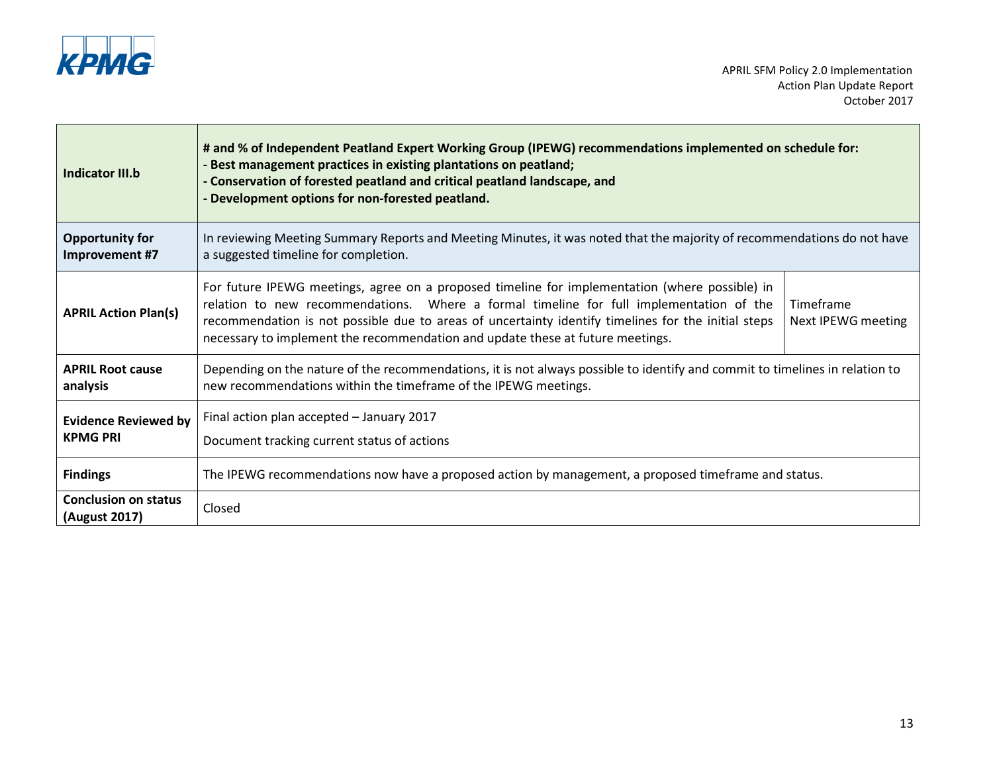

| <b>Indicator III.b</b>                         | # and % of Independent Peatland Expert Working Group (IPEWG) recommendations implemented on schedule for:<br>- Best management practices in existing plantations on peatland;<br>- Conservation of forested peatland and critical peatland landscape, and<br>- Development options for non-forested peatland.                                                                      |                                 |
|------------------------------------------------|------------------------------------------------------------------------------------------------------------------------------------------------------------------------------------------------------------------------------------------------------------------------------------------------------------------------------------------------------------------------------------|---------------------------------|
| <b>Opportunity for</b><br>Improvement #7       | In reviewing Meeting Summary Reports and Meeting Minutes, it was noted that the majority of recommendations do not have<br>a suggested timeline for completion.                                                                                                                                                                                                                    |                                 |
| <b>APRIL Action Plan(s)</b>                    | For future IPEWG meetings, agree on a proposed timeline for implementation (where possible) in<br>relation to new recommendations. Where a formal timeline for full implementation of the<br>recommendation is not possible due to areas of uncertainty identify timelines for the initial steps<br>necessary to implement the recommendation and update these at future meetings. | Timeframe<br>Next IPEWG meeting |
| <b>APRIL Root cause</b><br>analysis            | Depending on the nature of the recommendations, it is not always possible to identify and commit to timelines in relation to<br>new recommendations within the timeframe of the IPEWG meetings.                                                                                                                                                                                    |                                 |
| <b>Evidence Reviewed by</b><br><b>KPMG PRI</b> | Final action plan accepted - January 2017<br>Document tracking current status of actions                                                                                                                                                                                                                                                                                           |                                 |
| <b>Findings</b>                                | The IPEWG recommendations now have a proposed action by management, a proposed timeframe and status.                                                                                                                                                                                                                                                                               |                                 |
| <b>Conclusion on status</b><br>(August 2017)   | Closed                                                                                                                                                                                                                                                                                                                                                                             |                                 |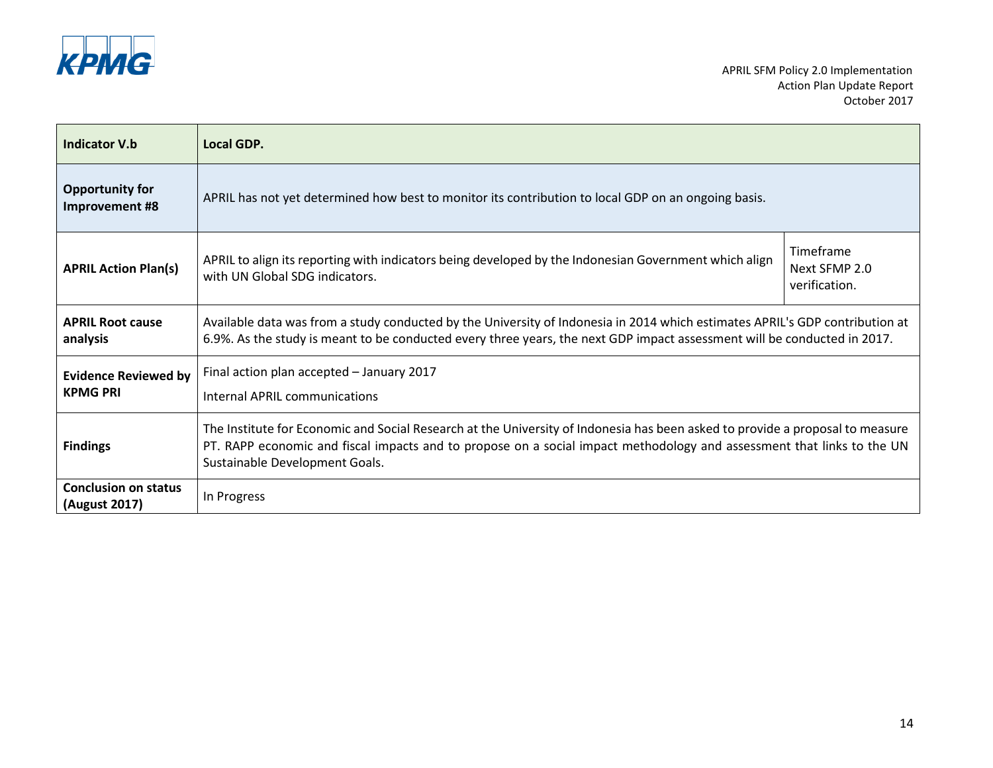

| Indicator V.b                                  | Local GDP.                                                                                                                                                                                                                                                                                |                                             |
|------------------------------------------------|-------------------------------------------------------------------------------------------------------------------------------------------------------------------------------------------------------------------------------------------------------------------------------------------|---------------------------------------------|
| <b>Opportunity for</b><br>Improvement #8       | APRIL has not yet determined how best to monitor its contribution to local GDP on an ongoing basis.                                                                                                                                                                                       |                                             |
| <b>APRIL Action Plan(s)</b>                    | APRIL to align its reporting with indicators being developed by the Indonesian Government which align<br>with UN Global SDG indicators.                                                                                                                                                   | Timeframe<br>Next SFMP 2.0<br>verification. |
| <b>APRIL Root cause</b><br>analysis            | Available data was from a study conducted by the University of Indonesia in 2014 which estimates APRIL's GDP contribution at<br>6.9%. As the study is meant to be conducted every three years, the next GDP impact assessment will be conducted in 2017.                                  |                                             |
| <b>Evidence Reviewed by</b><br><b>KPMG PRI</b> | Final action plan accepted - January 2017<br>Internal APRIL communications                                                                                                                                                                                                                |                                             |
| <b>Findings</b>                                | The Institute for Economic and Social Research at the University of Indonesia has been asked to provide a proposal to measure<br>PT. RAPP economic and fiscal impacts and to propose on a social impact methodology and assessment that links to the UN<br>Sustainable Development Goals. |                                             |
| <b>Conclusion on status</b><br>(August 2017)   | In Progress                                                                                                                                                                                                                                                                               |                                             |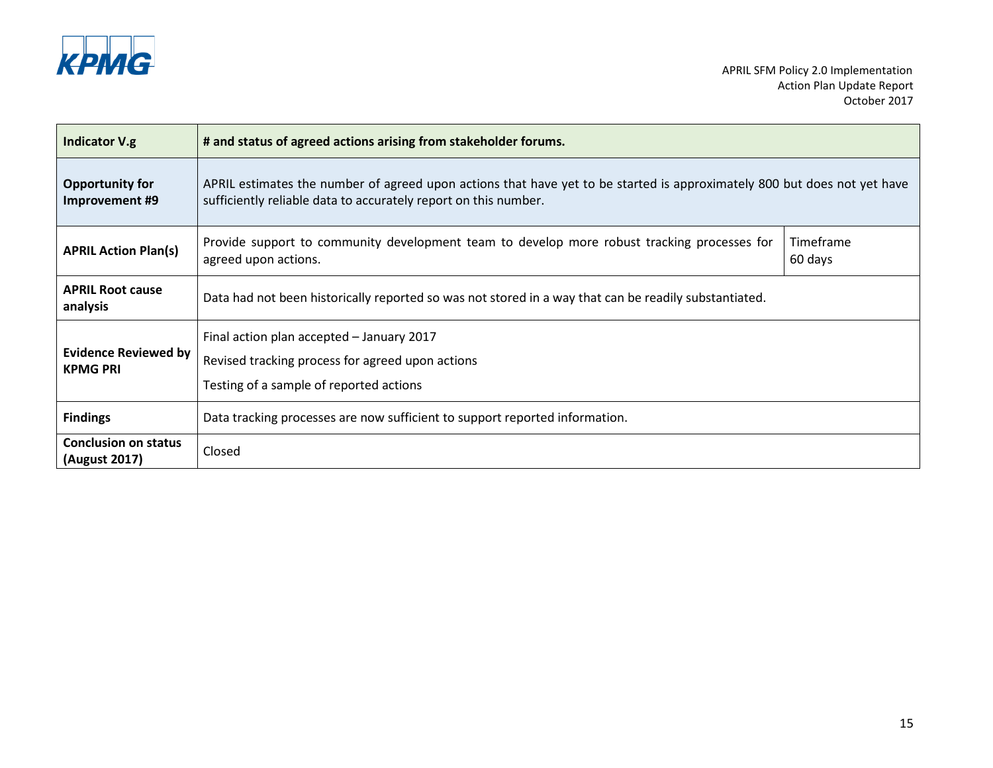

| <b>Indicator V.g</b>                           | # and status of agreed actions arising from stakeholder forums.                                                                                                                             |                      |
|------------------------------------------------|---------------------------------------------------------------------------------------------------------------------------------------------------------------------------------------------|----------------------|
| <b>Opportunity for</b><br>Improvement #9       | APRIL estimates the number of agreed upon actions that have yet to be started is approximately 800 but does not yet have<br>sufficiently reliable data to accurately report on this number. |                      |
| <b>APRIL Action Plan(s)</b>                    | Provide support to community development team to develop more robust tracking processes for<br>agreed upon actions.                                                                         | Timeframe<br>60 days |
| <b>APRIL Root cause</b><br>analysis            | Data had not been historically reported so was not stored in a way that can be readily substantiated.                                                                                       |                      |
| <b>Evidence Reviewed by</b><br><b>KPMG PRI</b> | Final action plan accepted - January 2017<br>Revised tracking process for agreed upon actions<br>Testing of a sample of reported actions                                                    |                      |
| <b>Findings</b>                                | Data tracking processes are now sufficient to support reported information.                                                                                                                 |                      |
| <b>Conclusion on status</b><br>(August 2017)   | Closed                                                                                                                                                                                      |                      |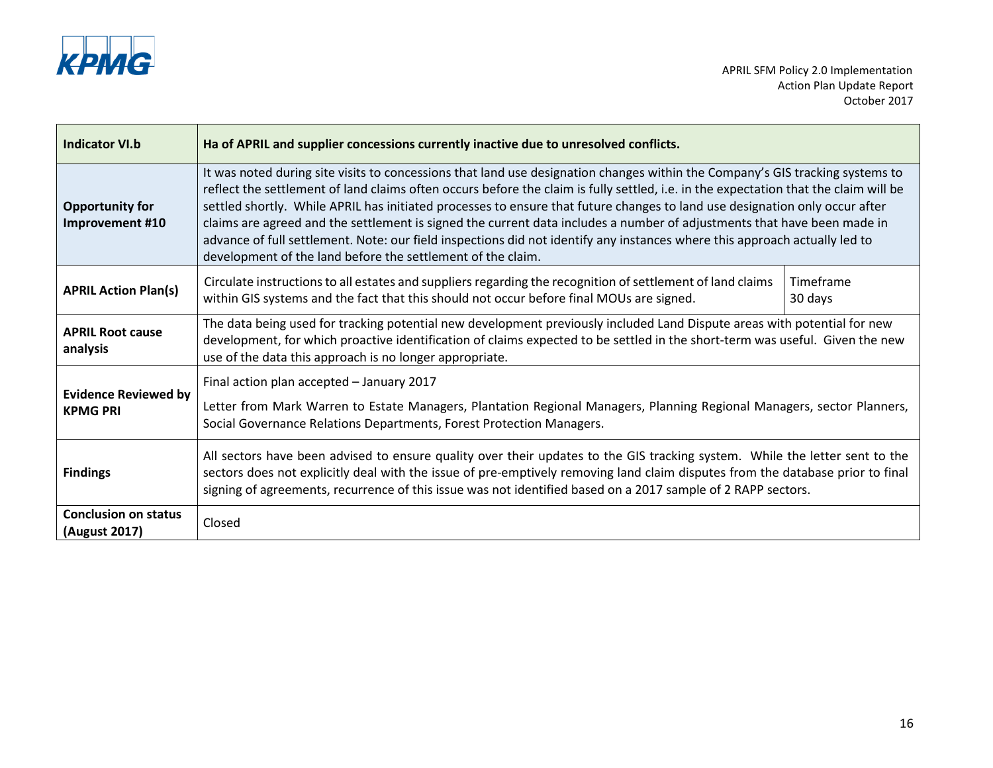

| <b>Indicator VI.b</b>                          | Ha of APRIL and supplier concessions currently inactive due to unresolved conflicts.                                                                                                                                                                                                                                                                                                                                                                                                                                                                                                                                                                                                                                         |                      |
|------------------------------------------------|------------------------------------------------------------------------------------------------------------------------------------------------------------------------------------------------------------------------------------------------------------------------------------------------------------------------------------------------------------------------------------------------------------------------------------------------------------------------------------------------------------------------------------------------------------------------------------------------------------------------------------------------------------------------------------------------------------------------------|----------------------|
| <b>Opportunity for</b><br>Improvement #10      | It was noted during site visits to concessions that land use designation changes within the Company's GIS tracking systems to<br>reflect the settlement of land claims often occurs before the claim is fully settled, i.e. in the expectation that the claim will be<br>settled shortly. While APRIL has initiated processes to ensure that future changes to land use designation only occur after<br>claims are agreed and the settlement is signed the current data includes a number of adjustments that have been made in<br>advance of full settlement. Note: our field inspections did not identify any instances where this approach actually led to<br>development of the land before the settlement of the claim. |                      |
| <b>APRIL Action Plan(s)</b>                    | Circulate instructions to all estates and suppliers regarding the recognition of settlement of land claims<br>within GIS systems and the fact that this should not occur before final MOUs are signed.                                                                                                                                                                                                                                                                                                                                                                                                                                                                                                                       | Timeframe<br>30 days |
| <b>APRIL Root cause</b><br>analysis            | The data being used for tracking potential new development previously included Land Dispute areas with potential for new<br>development, for which proactive identification of claims expected to be settled in the short-term was useful. Given the new<br>use of the data this approach is no longer appropriate.                                                                                                                                                                                                                                                                                                                                                                                                          |                      |
| <b>Evidence Reviewed by</b><br><b>KPMG PRI</b> | Final action plan accepted - January 2017<br>Letter from Mark Warren to Estate Managers, Plantation Regional Managers, Planning Regional Managers, sector Planners,<br>Social Governance Relations Departments, Forest Protection Managers.                                                                                                                                                                                                                                                                                                                                                                                                                                                                                  |                      |
| <b>Findings</b>                                | All sectors have been advised to ensure quality over their updates to the GIS tracking system. While the letter sent to the<br>sectors does not explicitly deal with the issue of pre-emptively removing land claim disputes from the database prior to final<br>signing of agreements, recurrence of this issue was not identified based on a 2017 sample of 2 RAPP sectors.                                                                                                                                                                                                                                                                                                                                                |                      |
| <b>Conclusion on status</b><br>(August 2017)   | Closed                                                                                                                                                                                                                                                                                                                                                                                                                                                                                                                                                                                                                                                                                                                       |                      |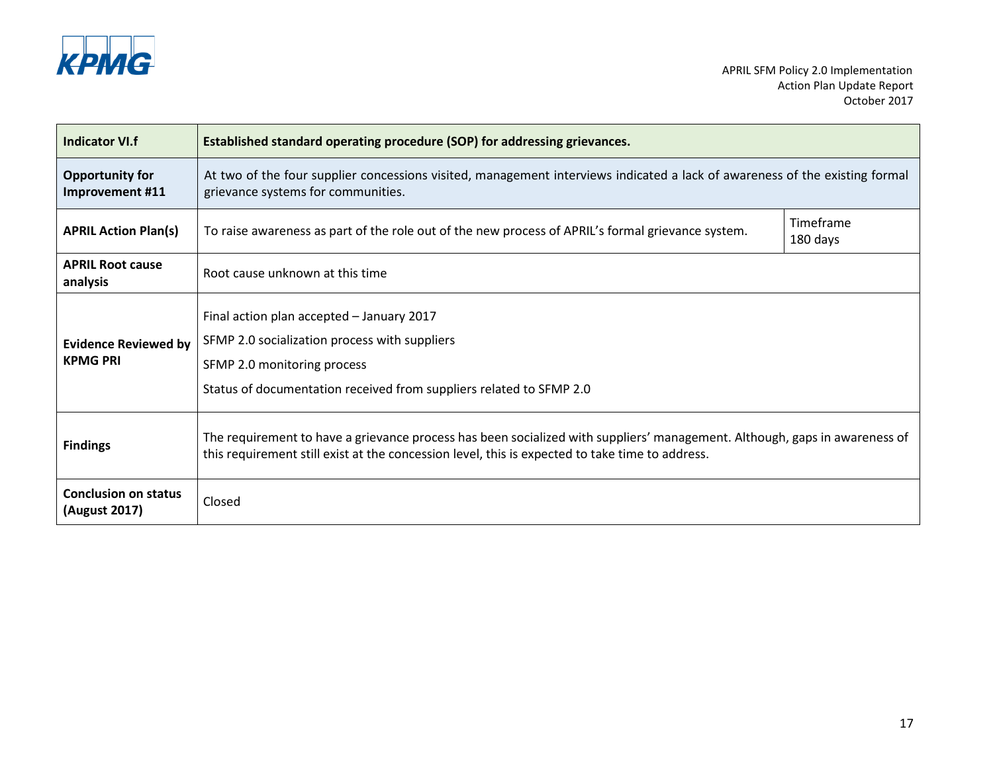

| <b>Indicator VI.f</b>                          | Established standard operating procedure (SOP) for addressing grievances.                                                                                                                                                     |                       |
|------------------------------------------------|-------------------------------------------------------------------------------------------------------------------------------------------------------------------------------------------------------------------------------|-----------------------|
| <b>Opportunity for</b><br>Improvement #11      | At two of the four supplier concessions visited, management interviews indicated a lack of awareness of the existing formal<br>grievance systems for communities.                                                             |                       |
| <b>APRIL Action Plan(s)</b>                    | To raise awareness as part of the role out of the new process of APRIL's formal grievance system.                                                                                                                             | Timeframe<br>180 days |
| <b>APRIL Root cause</b><br>analysis            | Root cause unknown at this time                                                                                                                                                                                               |                       |
| <b>Evidence Reviewed by</b><br><b>KPMG PRI</b> | Final action plan accepted - January 2017<br>SFMP 2.0 socialization process with suppliers<br>SFMP 2.0 monitoring process<br>Status of documentation received from suppliers related to SFMP 2.0                              |                       |
| <b>Findings</b>                                | The requirement to have a grievance process has been socialized with suppliers' management. Although, gaps in awareness of<br>this requirement still exist at the concession level, this is expected to take time to address. |                       |
| <b>Conclusion on status</b><br>(August 2017)   | Closed                                                                                                                                                                                                                        |                       |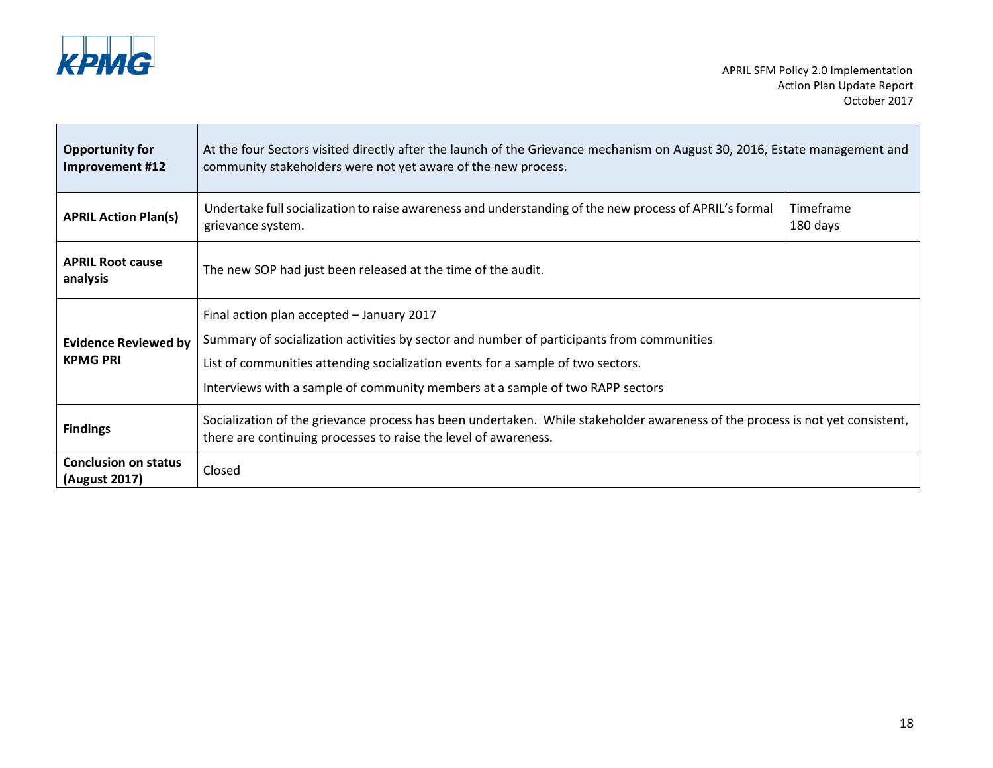

Ē

| <b>Opportunity for</b><br>Improvement #12      | At the four Sectors visited directly after the launch of the Grievance mechanism on August 30, 2016, Estate management and<br>community stakeholders were not yet aware of the new process.                                                                                                                |                       |
|------------------------------------------------|------------------------------------------------------------------------------------------------------------------------------------------------------------------------------------------------------------------------------------------------------------------------------------------------------------|-----------------------|
| <b>APRIL Action Plan(s)</b>                    | Undertake full socialization to raise awareness and understanding of the new process of APRIL's formal<br>grievance system.                                                                                                                                                                                | Timeframe<br>180 days |
| <b>APRIL Root cause</b><br>analysis            | The new SOP had just been released at the time of the audit.                                                                                                                                                                                                                                               |                       |
| <b>Evidence Reviewed by</b><br><b>KPMG PRI</b> | Final action plan accepted - January 2017<br>Summary of socialization activities by sector and number of participants from communities<br>List of communities attending socialization events for a sample of two sectors.<br>Interviews with a sample of community members at a sample of two RAPP sectors |                       |
| <b>Findings</b>                                | Socialization of the grievance process has been undertaken. While stakeholder awareness of the process is not yet consistent,<br>there are continuing processes to raise the level of awareness.                                                                                                           |                       |
| <b>Conclusion on status</b><br>(August 2017)   | Closed                                                                                                                                                                                                                                                                                                     |                       |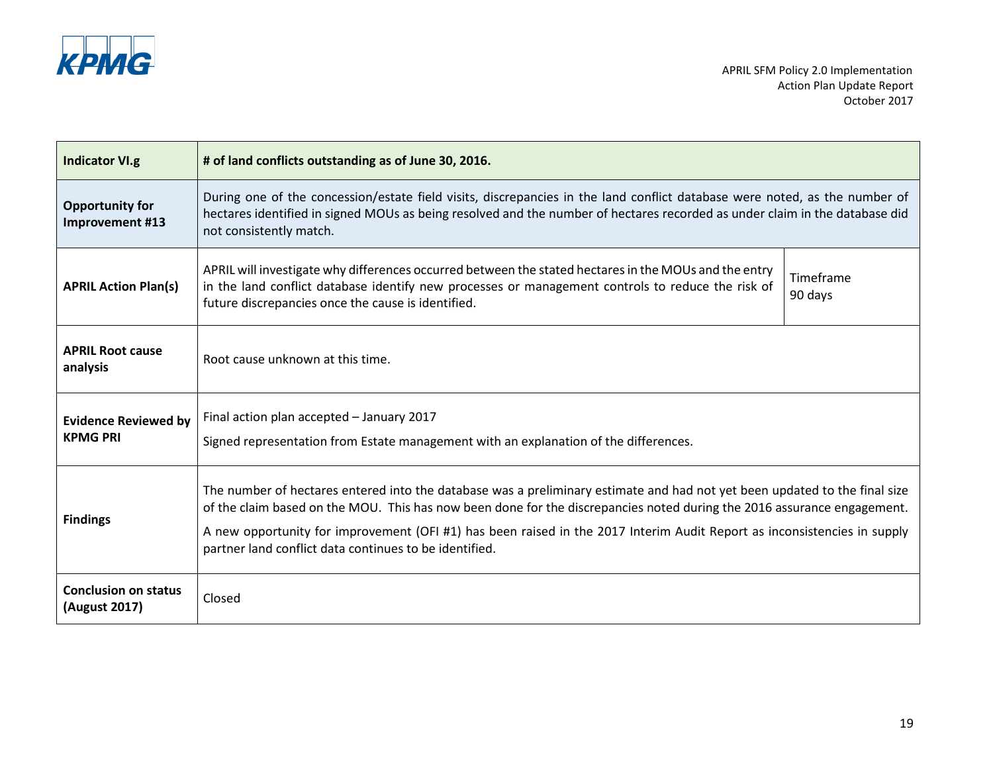

| <b>Indicator VI.g</b>                          | # of land conflicts outstanding as of June 30, 2016.                                                                                                                                                                                                                                                                                                                                                                                        |                      |
|------------------------------------------------|---------------------------------------------------------------------------------------------------------------------------------------------------------------------------------------------------------------------------------------------------------------------------------------------------------------------------------------------------------------------------------------------------------------------------------------------|----------------------|
| <b>Opportunity for</b><br>Improvement #13      | During one of the concession/estate field visits, discrepancies in the land conflict database were noted, as the number of<br>hectares identified in signed MOUs as being resolved and the number of hectares recorded as under claim in the database did<br>not consistently match.                                                                                                                                                        |                      |
| <b>APRIL Action Plan(s)</b>                    | APRIL will investigate why differences occurred between the stated hectares in the MOUs and the entry<br>in the land conflict database identify new processes or management controls to reduce the risk of<br>future discrepancies once the cause is identified.                                                                                                                                                                            | Timeframe<br>90 days |
| <b>APRIL Root cause</b><br>analysis            | Root cause unknown at this time.                                                                                                                                                                                                                                                                                                                                                                                                            |                      |
| <b>Evidence Reviewed by</b><br><b>KPMG PRI</b> | Final action plan accepted - January 2017<br>Signed representation from Estate management with an explanation of the differences.                                                                                                                                                                                                                                                                                                           |                      |
| <b>Findings</b>                                | The number of hectares entered into the database was a preliminary estimate and had not yet been updated to the final size<br>of the claim based on the MOU. This has now been done for the discrepancies noted during the 2016 assurance engagement.<br>A new opportunity for improvement (OFI #1) has been raised in the 2017 Interim Audit Report as inconsistencies in supply<br>partner land conflict data continues to be identified. |                      |
| <b>Conclusion on status</b><br>(August 2017)   | Closed                                                                                                                                                                                                                                                                                                                                                                                                                                      |                      |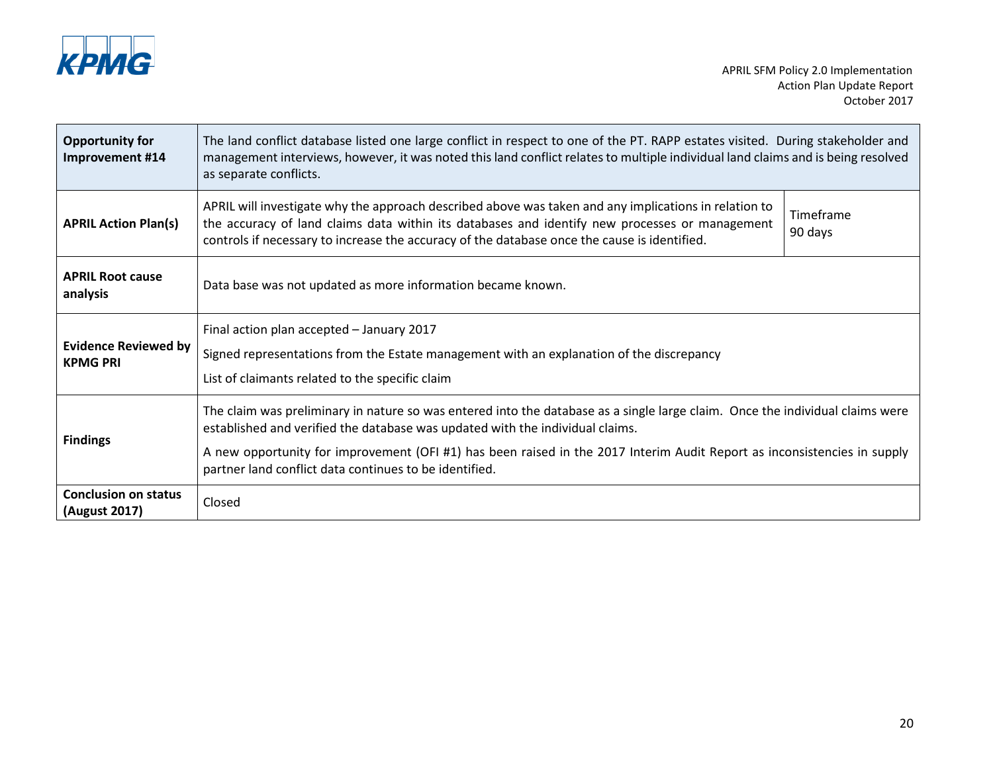

| <b>Opportunity for</b><br>Improvement #14      | The land conflict database listed one large conflict in respect to one of the PT. RAPP estates visited. During stakeholder and<br>management interviews, however, it was noted this land conflict relates to multiple individual land claims and is being resolved<br>as separate conflicts.                                                                                                         |                      |
|------------------------------------------------|------------------------------------------------------------------------------------------------------------------------------------------------------------------------------------------------------------------------------------------------------------------------------------------------------------------------------------------------------------------------------------------------------|----------------------|
| <b>APRIL Action Plan(s)</b>                    | APRIL will investigate why the approach described above was taken and any implications in relation to<br>the accuracy of land claims data within its databases and identify new processes or management<br>controls if necessary to increase the accuracy of the database once the cause is identified.                                                                                              | Timeframe<br>90 days |
| <b>APRIL Root cause</b><br>analysis            | Data base was not updated as more information became known.                                                                                                                                                                                                                                                                                                                                          |                      |
| <b>Evidence Reviewed by</b><br><b>KPMG PRI</b> | Final action plan accepted - January 2017<br>Signed representations from the Estate management with an explanation of the discrepancy<br>List of claimants related to the specific claim                                                                                                                                                                                                             |                      |
| <b>Findings</b>                                | The claim was preliminary in nature so was entered into the database as a single large claim. Once the individual claims were<br>established and verified the database was updated with the individual claims.<br>A new opportunity for improvement (OFI #1) has been raised in the 2017 Interim Audit Report as inconsistencies in supply<br>partner land conflict data continues to be identified. |                      |
| <b>Conclusion on status</b><br>(August 2017)   | Closed                                                                                                                                                                                                                                                                                                                                                                                               |                      |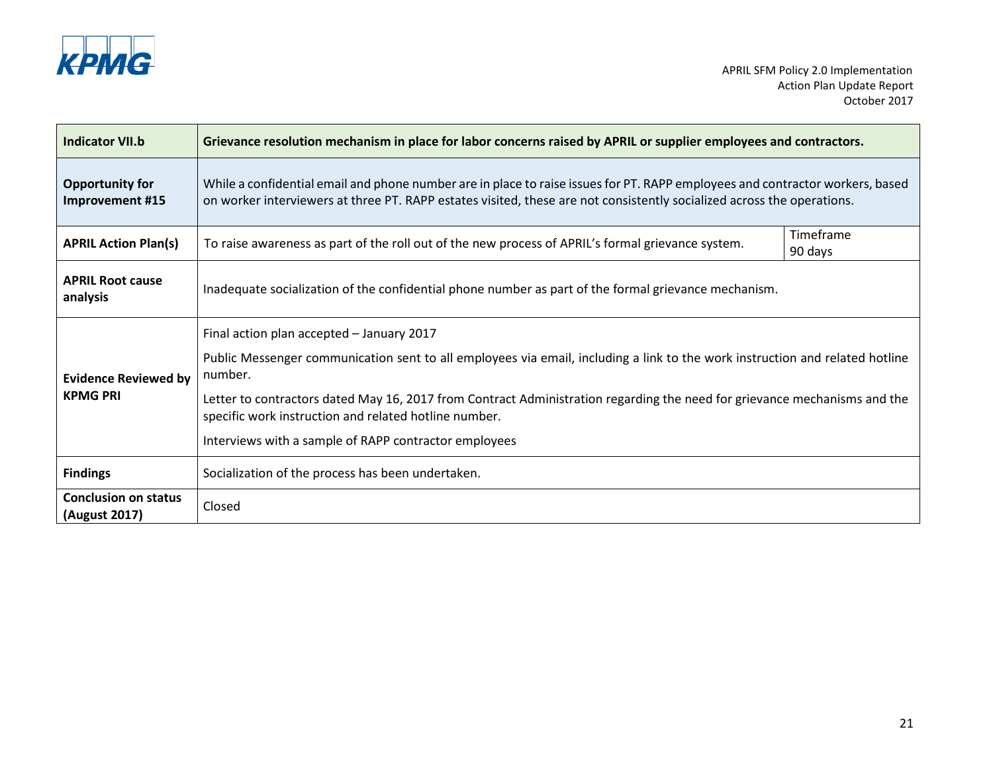

| <b>Indicator VII.b</b>                         | Grievance resolution mechanism in place for labor concerns raised by APRIL or supplier employees and contractors.                                                                                                                                                                                                                                                                                                                   |                      |  |
|------------------------------------------------|-------------------------------------------------------------------------------------------------------------------------------------------------------------------------------------------------------------------------------------------------------------------------------------------------------------------------------------------------------------------------------------------------------------------------------------|----------------------|--|
| <b>Opportunity for</b><br>Improvement #15      | While a confidential email and phone number are in place to raise issues for PT. RAPP employees and contractor workers, based<br>on worker interviewers at three PT. RAPP estates visited, these are not consistently socialized across the operations.                                                                                                                                                                             |                      |  |
| <b>APRIL Action Plan(s)</b>                    | To raise awareness as part of the roll out of the new process of APRIL's formal grievance system.                                                                                                                                                                                                                                                                                                                                   | Timeframe<br>90 days |  |
| <b>APRIL Root cause</b><br>analysis            | Inadequate socialization of the confidential phone number as part of the formal grievance mechanism.                                                                                                                                                                                                                                                                                                                                |                      |  |
| <b>Evidence Reviewed by</b><br><b>KPMG PRI</b> | Final action plan accepted - January 2017<br>Public Messenger communication sent to all employees via email, including a link to the work instruction and related hotline<br>number.<br>Letter to contractors dated May 16, 2017 from Contract Administration regarding the need for grievance mechanisms and the<br>specific work instruction and related hotline number.<br>Interviews with a sample of RAPP contractor employees |                      |  |
| <b>Findings</b>                                | Socialization of the process has been undertaken.                                                                                                                                                                                                                                                                                                                                                                                   |                      |  |
| <b>Conclusion on status</b><br>(August 2017)   | Closed                                                                                                                                                                                                                                                                                                                                                                                                                              |                      |  |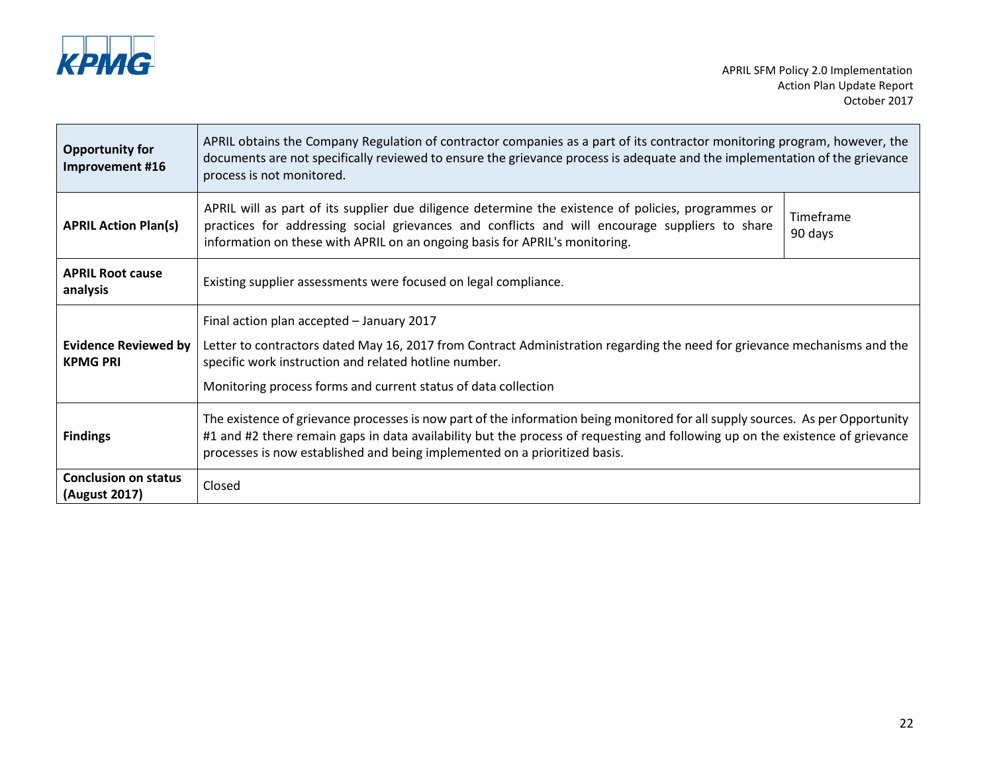

| <b>Opportunity for</b><br>Improvement #16                                                                                                                                                                                            | APRIL obtains the Company Regulation of contractor companies as a part of its contractor monitoring program, however, the<br>documents are not specifically reviewed to ensure the grievance process is adequate and the implementation of the grievance<br>process is not monitored.                                                         |                      |
|--------------------------------------------------------------------------------------------------------------------------------------------------------------------------------------------------------------------------------------|-----------------------------------------------------------------------------------------------------------------------------------------------------------------------------------------------------------------------------------------------------------------------------------------------------------------------------------------------|----------------------|
| <b>APRIL Action Plan(s)</b>                                                                                                                                                                                                          | APRIL will as part of its supplier due diligence determine the existence of policies, programmes or<br>practices for addressing social grievances and conflicts and will encourage suppliers to share<br>information on these with APRIL on an ongoing basis for APRIL's monitoring.                                                          | Timeframe<br>90 days |
| <b>APRIL Root cause</b><br>analysis                                                                                                                                                                                                  | Existing supplier assessments were focused on legal compliance.                                                                                                                                                                                                                                                                               |                      |
|                                                                                                                                                                                                                                      | Final action plan accepted - January 2017                                                                                                                                                                                                                                                                                                     |                      |
| <b>Evidence Reviewed by</b><br>Letter to contractors dated May 16, 2017 from Contract Administration regarding the need for grievance mechanisms and the<br>specific work instruction and related hotline number.<br><b>KPMG PRI</b> |                                                                                                                                                                                                                                                                                                                                               |                      |
|                                                                                                                                                                                                                                      | Monitoring process forms and current status of data collection                                                                                                                                                                                                                                                                                |                      |
| <b>Findings</b>                                                                                                                                                                                                                      | The existence of grievance processes is now part of the information being monitored for all supply sources. As per Opportunity<br>#1 and #2 there remain gaps in data availability but the process of requesting and following up on the existence of grievance<br>processes is now established and being implemented on a prioritized basis. |                      |
| <b>Conclusion on status</b><br>(August 2017)                                                                                                                                                                                         | Closed                                                                                                                                                                                                                                                                                                                                        |                      |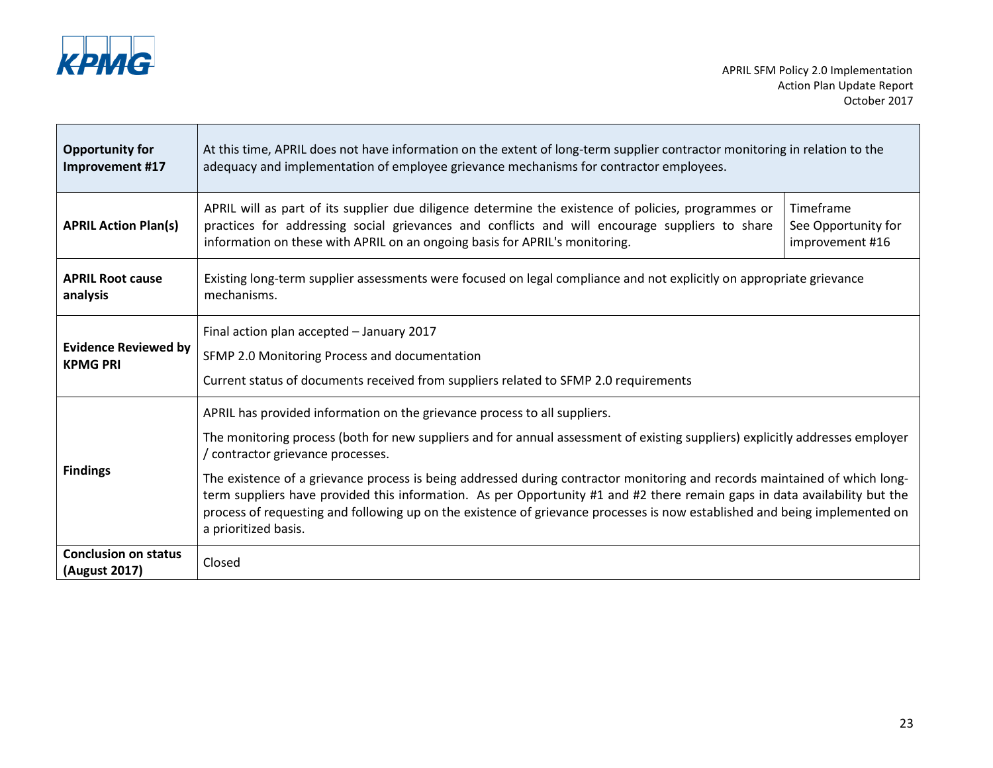

Ē

J.

| <b>Opportunity for</b><br>Improvement #17      | At this time, APRIL does not have information on the extent of long-term supplier contractor monitoring in relation to the<br>adequacy and implementation of employee grievance mechanisms for contractor employees.                                                                                                                                                                                                                                                                                                                                                                                                                                            |                                                     |
|------------------------------------------------|-----------------------------------------------------------------------------------------------------------------------------------------------------------------------------------------------------------------------------------------------------------------------------------------------------------------------------------------------------------------------------------------------------------------------------------------------------------------------------------------------------------------------------------------------------------------------------------------------------------------------------------------------------------------|-----------------------------------------------------|
| <b>APRIL Action Plan(s)</b>                    | APRIL will as part of its supplier due diligence determine the existence of policies, programmes or<br>practices for addressing social grievances and conflicts and will encourage suppliers to share<br>information on these with APRIL on an ongoing basis for APRIL's monitoring.                                                                                                                                                                                                                                                                                                                                                                            | Timeframe<br>See Opportunity for<br>improvement #16 |
| <b>APRIL Root cause</b><br>analysis            | Existing long-term supplier assessments were focused on legal compliance and not explicitly on appropriate grievance<br>mechanisms.                                                                                                                                                                                                                                                                                                                                                                                                                                                                                                                             |                                                     |
| <b>Evidence Reviewed by</b><br><b>KPMG PRI</b> | Final action plan accepted - January 2017<br>SFMP 2.0 Monitoring Process and documentation<br>Current status of documents received from suppliers related to SFMP 2.0 requirements                                                                                                                                                                                                                                                                                                                                                                                                                                                                              |                                                     |
| <b>Findings</b>                                | APRIL has provided information on the grievance process to all suppliers.<br>The monitoring process (both for new suppliers and for annual assessment of existing suppliers) explicitly addresses employer<br>contractor grievance processes.<br>The existence of a grievance process is being addressed during contractor monitoring and records maintained of which long-<br>term suppliers have provided this information. As per Opportunity #1 and #2 there remain gaps in data availability but the<br>process of requesting and following up on the existence of grievance processes is now established and being implemented on<br>a prioritized basis. |                                                     |
| <b>Conclusion on status</b><br>(August 2017)   | Closed                                                                                                                                                                                                                                                                                                                                                                                                                                                                                                                                                                                                                                                          |                                                     |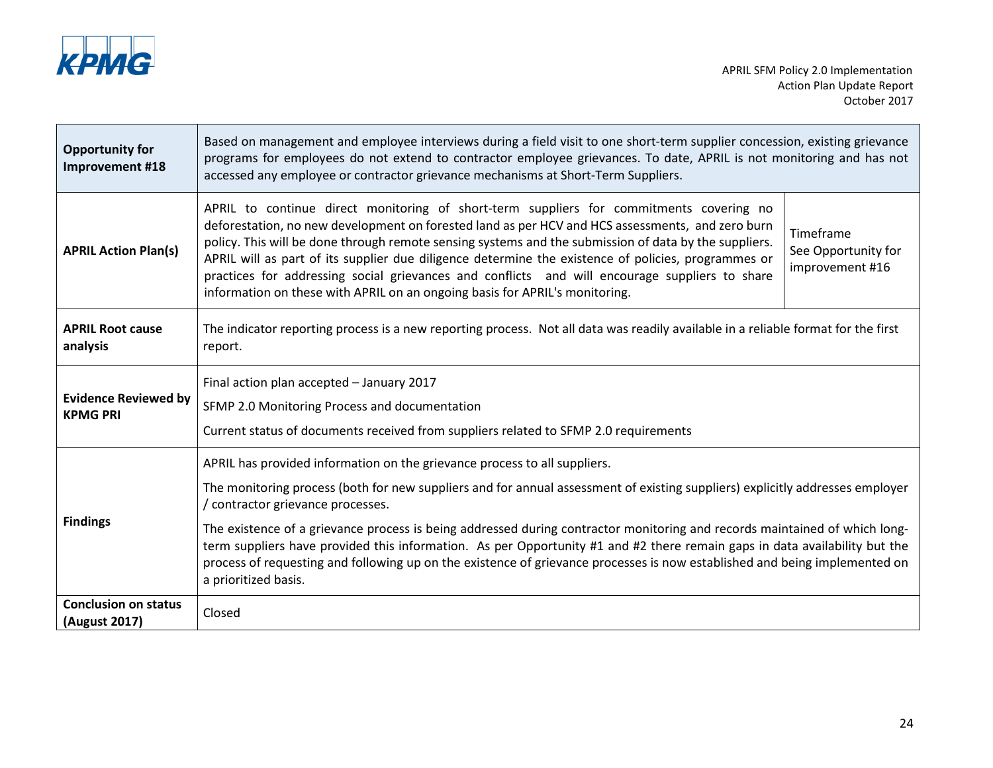

Ē

| <b>Opportunity for</b><br>Improvement #18      | Based on management and employee interviews during a field visit to one short-term supplier concession, existing grievance<br>programs for employees do not extend to contractor employee grievances. To date, APRIL is not monitoring and has not<br>accessed any employee or contractor grievance mechanisms at Short-Term Suppliers.                                                                                                                                                                                                                                                      |                                                     |
|------------------------------------------------|----------------------------------------------------------------------------------------------------------------------------------------------------------------------------------------------------------------------------------------------------------------------------------------------------------------------------------------------------------------------------------------------------------------------------------------------------------------------------------------------------------------------------------------------------------------------------------------------|-----------------------------------------------------|
| <b>APRIL Action Plan(s)</b>                    | APRIL to continue direct monitoring of short-term suppliers for commitments covering no<br>deforestation, no new development on forested land as per HCV and HCS assessments, and zero burn<br>policy. This will be done through remote sensing systems and the submission of data by the suppliers.<br>APRIL will as part of its supplier due diligence determine the existence of policies, programmes or<br>practices for addressing social grievances and conflicts and will encourage suppliers to share<br>information on these with APRIL on an ongoing basis for APRIL's monitoring. | Timeframe<br>See Opportunity for<br>improvement #16 |
| <b>APRIL Root cause</b><br>analysis            | The indicator reporting process is a new reporting process. Not all data was readily available in a reliable format for the first<br>report.                                                                                                                                                                                                                                                                                                                                                                                                                                                 |                                                     |
| <b>Evidence Reviewed by</b><br><b>KPMG PRI</b> | Final action plan accepted - January 2017<br>SFMP 2.0 Monitoring Process and documentation<br>Current status of documents received from suppliers related to SFMP 2.0 requirements                                                                                                                                                                                                                                                                                                                                                                                                           |                                                     |
|                                                | APRIL has provided information on the grievance process to all suppliers.                                                                                                                                                                                                                                                                                                                                                                                                                                                                                                                    |                                                     |
|                                                | The monitoring process (both for new suppliers and for annual assessment of existing suppliers) explicitly addresses employer<br>contractor grievance processes.                                                                                                                                                                                                                                                                                                                                                                                                                             |                                                     |
| <b>Findings</b>                                | The existence of a grievance process is being addressed during contractor monitoring and records maintained of which long-<br>term suppliers have provided this information. As per Opportunity #1 and #2 there remain gaps in data availability but the<br>process of requesting and following up on the existence of grievance processes is now established and being implemented on<br>a prioritized basis.                                                                                                                                                                               |                                                     |
| <b>Conclusion on status</b><br>(August 2017)   | Closed                                                                                                                                                                                                                                                                                                                                                                                                                                                                                                                                                                                       |                                                     |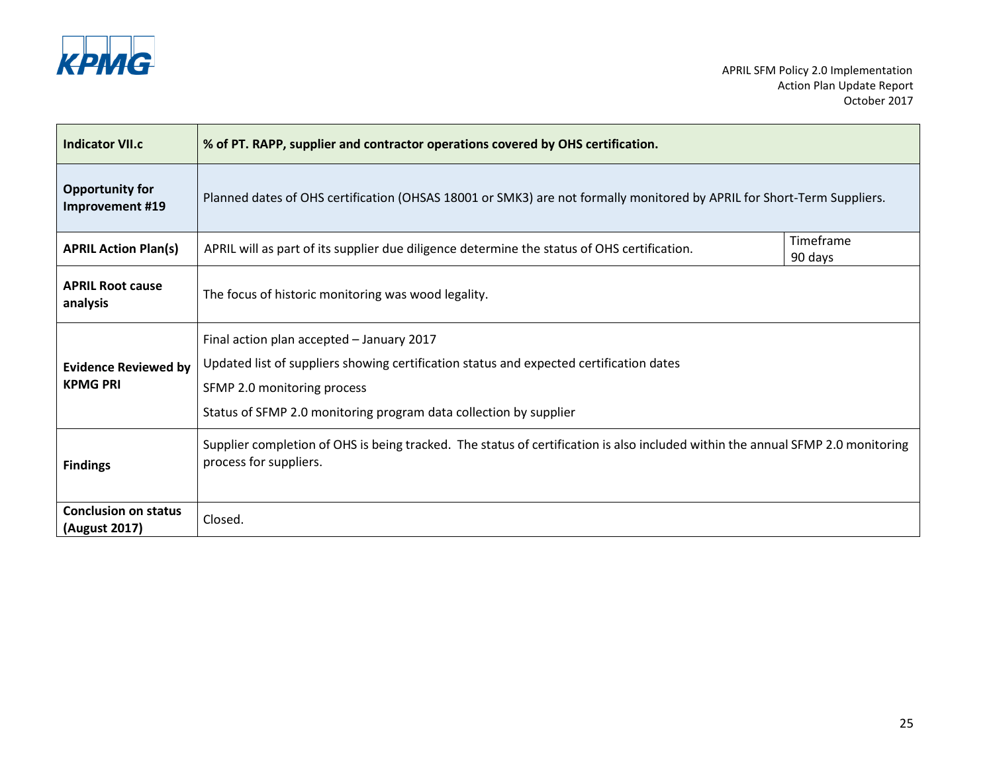

| <b>Indicator VII.c</b>                         | % of PT. RAPP, supplier and contractor operations covered by OHS certification.                                                                                                                                                          |                      |
|------------------------------------------------|------------------------------------------------------------------------------------------------------------------------------------------------------------------------------------------------------------------------------------------|----------------------|
| <b>Opportunity for</b><br>Improvement #19      | Planned dates of OHS certification (OHSAS 18001 or SMK3) are not formally monitored by APRIL for Short-Term Suppliers.                                                                                                                   |                      |
| <b>APRIL Action Plan(s)</b>                    | APRIL will as part of its supplier due diligence determine the status of OHS certification.                                                                                                                                              | Timeframe<br>90 days |
| <b>APRIL Root cause</b><br>analysis            | The focus of historic monitoring was wood legality.                                                                                                                                                                                      |                      |
| <b>Evidence Reviewed by</b><br><b>KPMG PRI</b> | Final action plan accepted - January 2017<br>Updated list of suppliers showing certification status and expected certification dates<br>SFMP 2.0 monitoring process<br>Status of SFMP 2.0 monitoring program data collection by supplier |                      |
| <b>Findings</b>                                | Supplier completion of OHS is being tracked. The status of certification is also included within the annual SFMP 2.0 monitoring<br>process for suppliers.                                                                                |                      |
| <b>Conclusion on status</b><br>(August 2017)   | Closed.                                                                                                                                                                                                                                  |                      |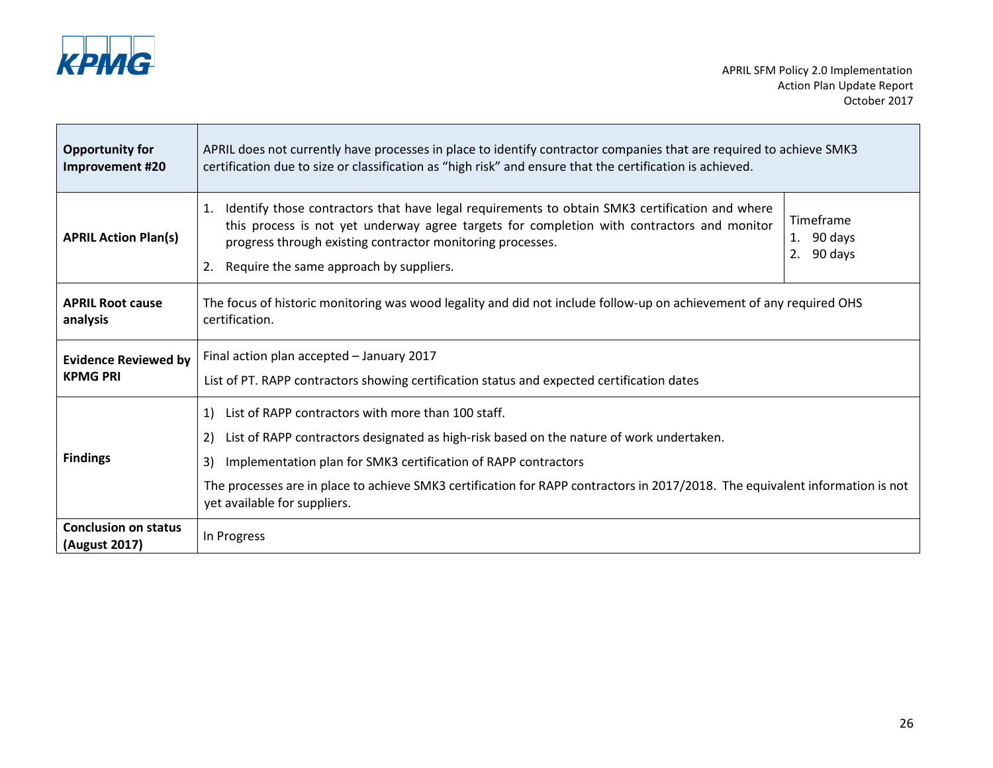

| <b>Opportunity for</b><br>Improvement #20      | APRIL does not currently have processes in place to identify contractor companies that are required to achieve SMK3<br>certification due to size or classification as "high risk" and ensure that the certification is achieved.                                                                                                                                                                    |                                       |
|------------------------------------------------|-----------------------------------------------------------------------------------------------------------------------------------------------------------------------------------------------------------------------------------------------------------------------------------------------------------------------------------------------------------------------------------------------------|---------------------------------------|
| <b>APRIL Action Plan(s)</b>                    | Identify those contractors that have legal requirements to obtain SMK3 certification and where<br>1.<br>this process is not yet underway agree targets for completion with contractors and monitor<br>progress through existing contractor monitoring processes.<br>Require the same approach by suppliers.<br>2.                                                                                   | Timeframe<br>1. 90 days<br>2. 90 days |
| <b>APRIL Root cause</b><br>analysis            | The focus of historic monitoring was wood legality and did not include follow-up on achievement of any required OHS<br>certification.                                                                                                                                                                                                                                                               |                                       |
| <b>Evidence Reviewed by</b><br><b>KPMG PRI</b> | Final action plan accepted - January 2017<br>List of PT. RAPP contractors showing certification status and expected certification dates                                                                                                                                                                                                                                                             |                                       |
| <b>Findings</b>                                | List of RAPP contractors with more than 100 staff.<br>1)<br>List of RAPP contractors designated as high-risk based on the nature of work undertaken.<br>2)<br>Implementation plan for SMK3 certification of RAPP contractors<br>3)<br>The processes are in place to achieve SMK3 certification for RAPP contractors in 2017/2018. The equivalent information is not<br>yet available for suppliers. |                                       |
| <b>Conclusion on status</b><br>(August 2017)   | In Progress                                                                                                                                                                                                                                                                                                                                                                                         |                                       |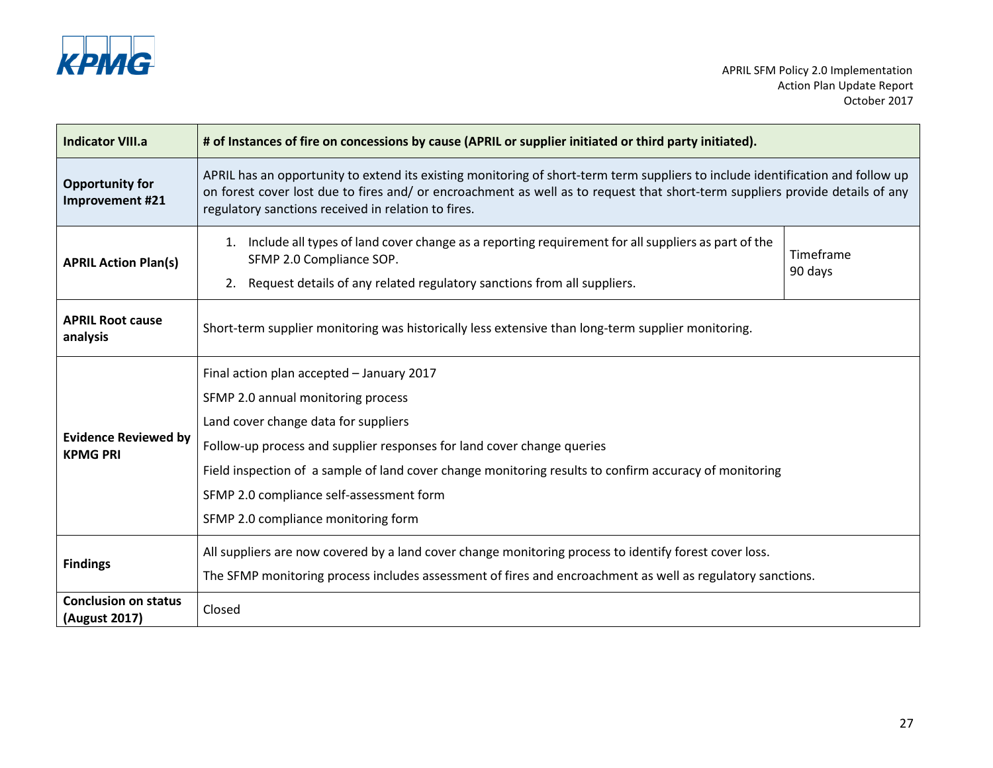

| <b>Indicator VIII.a</b>                        | # of Instances of fire on concessions by cause (APRIL or supplier initiated or third party initiated).                                                                                                                                                                                                                                                                                         |                      |
|------------------------------------------------|------------------------------------------------------------------------------------------------------------------------------------------------------------------------------------------------------------------------------------------------------------------------------------------------------------------------------------------------------------------------------------------------|----------------------|
| <b>Opportunity for</b><br>Improvement #21      | APRIL has an opportunity to extend its existing monitoring of short-term term suppliers to include identification and follow up<br>on forest cover lost due to fires and/ or encroachment as well as to request that short-term suppliers provide details of any<br>regulatory sanctions received in relation to fires.                                                                        |                      |
| <b>APRIL Action Plan(s)</b>                    | Include all types of land cover change as a reporting requirement for all suppliers as part of the<br>1.<br>SFMP 2.0 Compliance SOP.<br>Request details of any related regulatory sanctions from all suppliers.<br>2.                                                                                                                                                                          | Timeframe<br>90 days |
| <b>APRIL Root cause</b><br>analysis            | Short-term supplier monitoring was historically less extensive than long-term supplier monitoring.                                                                                                                                                                                                                                                                                             |                      |
| <b>Evidence Reviewed by</b><br><b>KPMG PRI</b> | Final action plan accepted - January 2017<br>SFMP 2.0 annual monitoring process<br>Land cover change data for suppliers<br>Follow-up process and supplier responses for land cover change queries<br>Field inspection of a sample of land cover change monitoring results to confirm accuracy of monitoring<br>SFMP 2.0 compliance self-assessment form<br>SFMP 2.0 compliance monitoring form |                      |
| <b>Findings</b>                                | All suppliers are now covered by a land cover change monitoring process to identify forest cover loss.<br>The SFMP monitoring process includes assessment of fires and encroachment as well as regulatory sanctions.                                                                                                                                                                           |                      |
| <b>Conclusion on status</b><br>(August 2017)   | Closed                                                                                                                                                                                                                                                                                                                                                                                         |                      |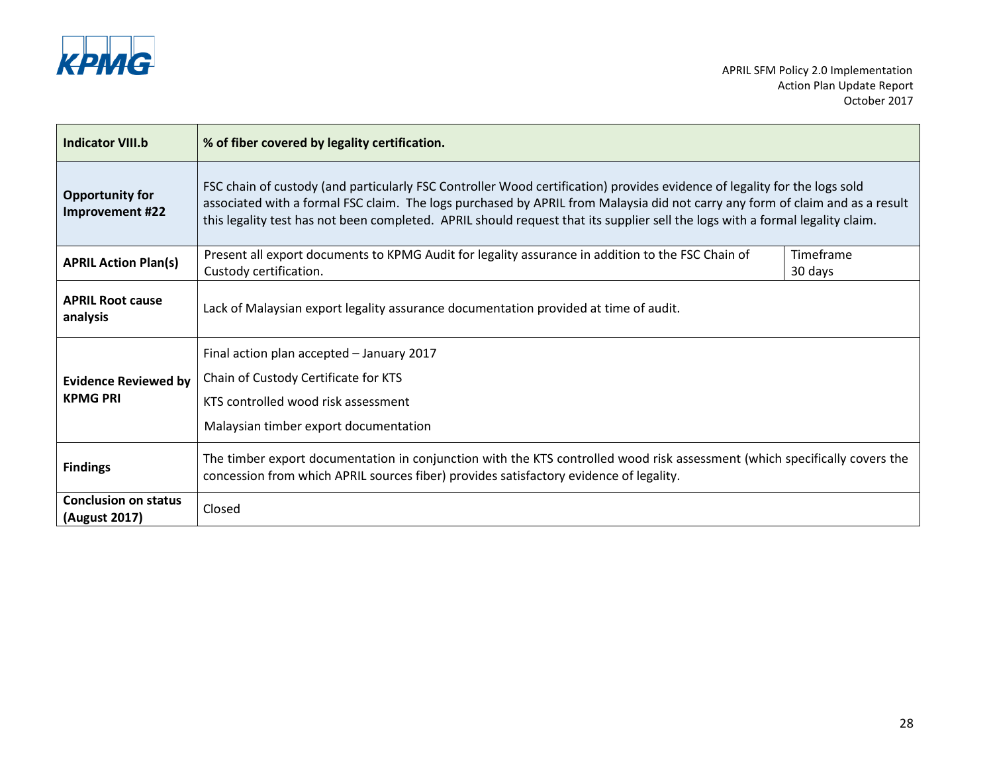

| <b>Indicator VIII.b</b>                        | % of fiber covered by legality certification.                                                                                                                                                                                                                                                                                                                                               |                      |
|------------------------------------------------|---------------------------------------------------------------------------------------------------------------------------------------------------------------------------------------------------------------------------------------------------------------------------------------------------------------------------------------------------------------------------------------------|----------------------|
| <b>Opportunity for</b><br>Improvement #22      | FSC chain of custody (and particularly FSC Controller Wood certification) provides evidence of legality for the logs sold<br>associated with a formal FSC claim. The logs purchased by APRIL from Malaysia did not carry any form of claim and as a result<br>this legality test has not been completed. APRIL should request that its supplier sell the logs with a formal legality claim. |                      |
| <b>APRIL Action Plan(s)</b>                    | Present all export documents to KPMG Audit for legality assurance in addition to the FSC Chain of<br>Custody certification.                                                                                                                                                                                                                                                                 | Timeframe<br>30 days |
| <b>APRIL Root cause</b><br>analysis            | Lack of Malaysian export legality assurance documentation provided at time of audit.                                                                                                                                                                                                                                                                                                        |                      |
| <b>Evidence Reviewed by</b><br><b>KPMG PRI</b> | Final action plan accepted - January 2017<br>Chain of Custody Certificate for KTS<br>KTS controlled wood risk assessment<br>Malaysian timber export documentation                                                                                                                                                                                                                           |                      |
| <b>Findings</b>                                | The timber export documentation in conjunction with the KTS controlled wood risk assessment (which specifically covers the<br>concession from which APRIL sources fiber) provides satisfactory evidence of legality.                                                                                                                                                                        |                      |
| <b>Conclusion on status</b><br>(August 2017)   | Closed                                                                                                                                                                                                                                                                                                                                                                                      |                      |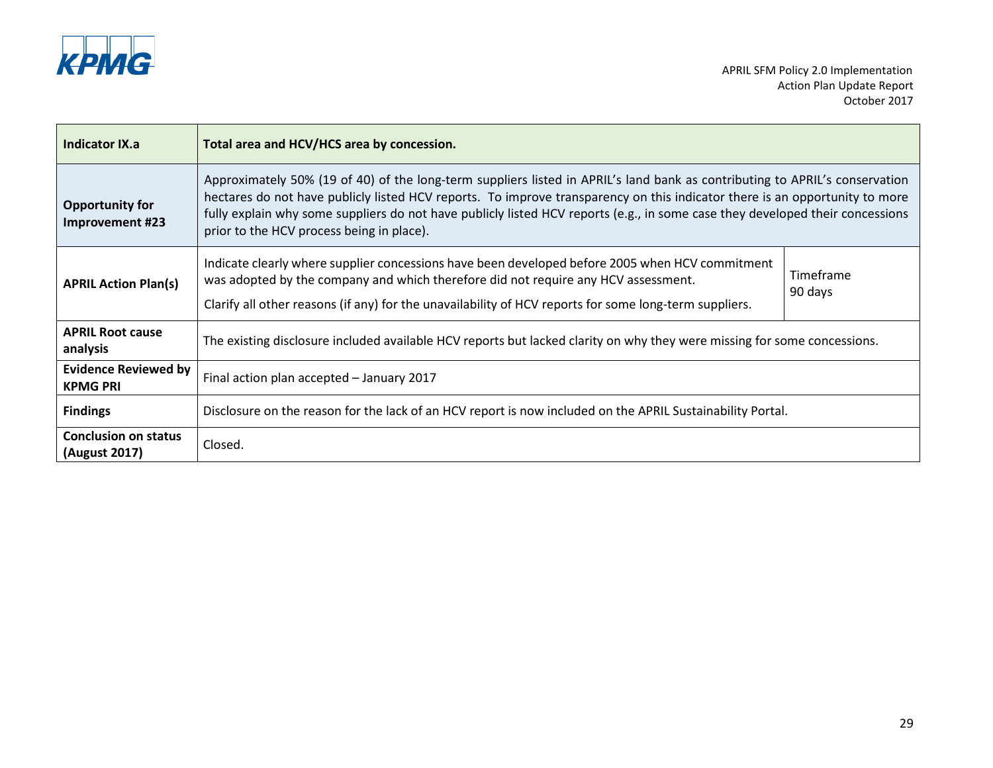

| Indicator IX.a                                 | Total area and HCV/HCS area by concession.                                                                                                                                                                                                                                                                                                                                                                                               |                      |
|------------------------------------------------|------------------------------------------------------------------------------------------------------------------------------------------------------------------------------------------------------------------------------------------------------------------------------------------------------------------------------------------------------------------------------------------------------------------------------------------|----------------------|
| <b>Opportunity for</b><br>Improvement #23      | Approximately 50% (19 of 40) of the long-term suppliers listed in APRIL's land bank as contributing to APRIL's conservation<br>hectares do not have publicly listed HCV reports. To improve transparency on this indicator there is an opportunity to more<br>fully explain why some suppliers do not have publicly listed HCV reports (e.g., in some case they developed their concessions<br>prior to the HCV process being in place). |                      |
| <b>APRIL Action Plan(s)</b>                    | Indicate clearly where supplier concessions have been developed before 2005 when HCV commitment<br>was adopted by the company and which therefore did not require any HCV assessment.<br>Clarify all other reasons (if any) for the unavailability of HCV reports for some long-term suppliers.                                                                                                                                          | Timeframe<br>90 days |
| <b>APRIL Root cause</b><br>analysis            | The existing disclosure included available HCV reports but lacked clarity on why they were missing for some concessions.                                                                                                                                                                                                                                                                                                                 |                      |
| <b>Evidence Reviewed by</b><br><b>KPMG PRI</b> | Final action plan accepted - January 2017                                                                                                                                                                                                                                                                                                                                                                                                |                      |
| <b>Findings</b>                                | Disclosure on the reason for the lack of an HCV report is now included on the APRIL Sustainability Portal.                                                                                                                                                                                                                                                                                                                               |                      |
| <b>Conclusion on status</b><br>(August 2017)   | Closed.                                                                                                                                                                                                                                                                                                                                                                                                                                  |                      |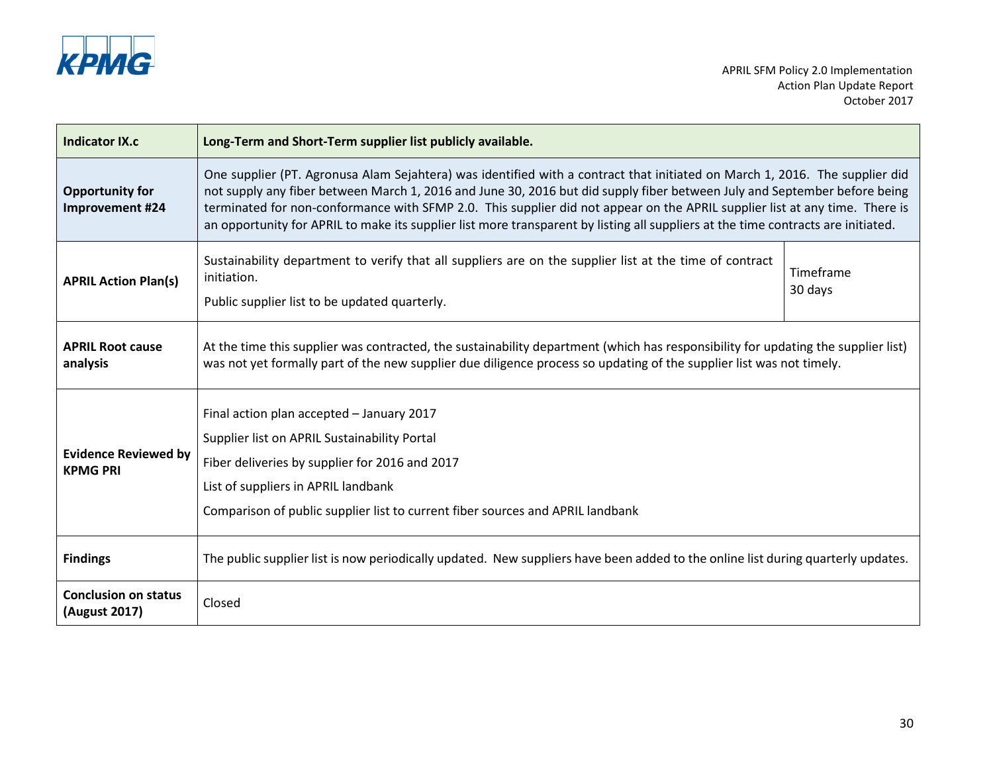

| Indicator IX.c                                 | Long-Term and Short-Term supplier list publicly available.                                                                                                                                                                                                                                                                                                                                                                                                                                                                   |                      |
|------------------------------------------------|------------------------------------------------------------------------------------------------------------------------------------------------------------------------------------------------------------------------------------------------------------------------------------------------------------------------------------------------------------------------------------------------------------------------------------------------------------------------------------------------------------------------------|----------------------|
| <b>Opportunity for</b><br>Improvement #24      | One supplier (PT. Agronusa Alam Sejahtera) was identified with a contract that initiated on March 1, 2016. The supplier did<br>not supply any fiber between March 1, 2016 and June 30, 2016 but did supply fiber between July and September before being<br>terminated for non-conformance with SFMP 2.0. This supplier did not appear on the APRIL supplier list at any time. There is<br>an opportunity for APRIL to make its supplier list more transparent by listing all suppliers at the time contracts are initiated. |                      |
| <b>APRIL Action Plan(s)</b>                    | Sustainability department to verify that all suppliers are on the supplier list at the time of contract<br>initiation.<br>Public supplier list to be updated quarterly.                                                                                                                                                                                                                                                                                                                                                      | Timeframe<br>30 days |
| <b>APRIL Root cause</b><br>analysis            | At the time this supplier was contracted, the sustainability department (which has responsibility for updating the supplier list)<br>was not yet formally part of the new supplier due diligence process so updating of the supplier list was not timely.                                                                                                                                                                                                                                                                    |                      |
| <b>Evidence Reviewed by</b><br><b>KPMG PRI</b> | Final action plan accepted - January 2017<br>Supplier list on APRIL Sustainability Portal<br>Fiber deliveries by supplier for 2016 and 2017<br>List of suppliers in APRIL landbank<br>Comparison of public supplier list to current fiber sources and APRIL landbank                                                                                                                                                                                                                                                         |                      |
| <b>Findings</b>                                | The public supplier list is now periodically updated. New suppliers have been added to the online list during quarterly updates.                                                                                                                                                                                                                                                                                                                                                                                             |                      |
| <b>Conclusion on status</b><br>(August 2017)   | Closed                                                                                                                                                                                                                                                                                                                                                                                                                                                                                                                       |                      |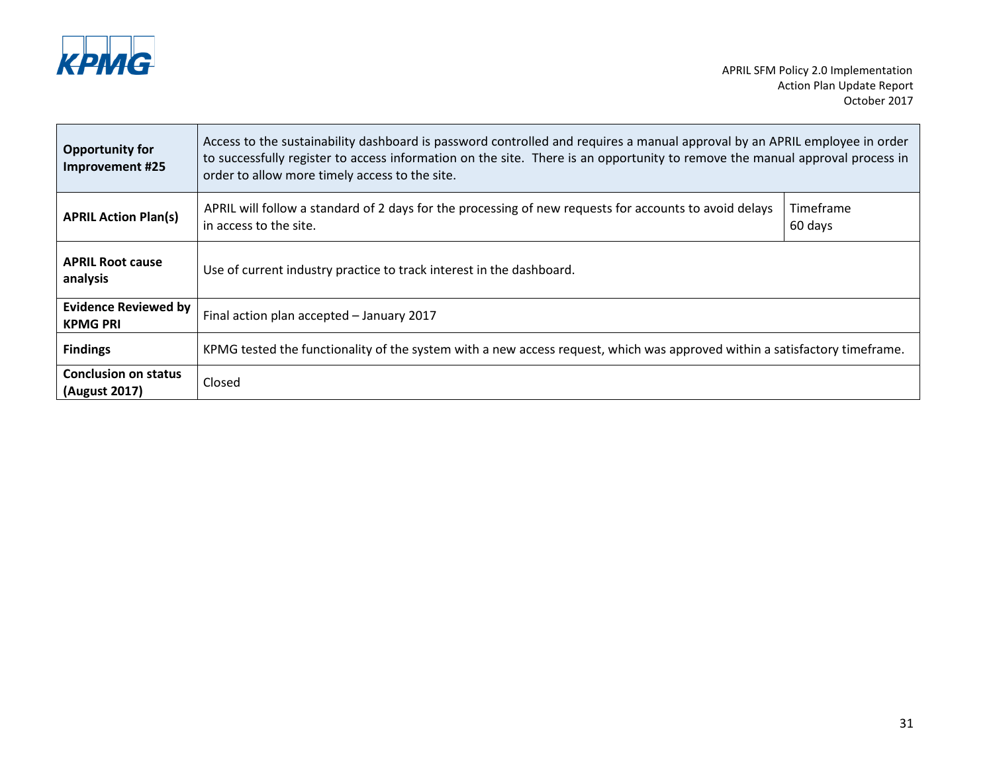

Ē.

 $\overline{\phantom{a}}$ 

| <b>Opportunity for</b><br>Improvement #25      | Access to the sustainability dashboard is password controlled and requires a manual approval by an APRIL employee in order<br>to successfully register to access information on the site. There is an opportunity to remove the manual approval process in<br>order to allow more timely access to the site. |                      |
|------------------------------------------------|--------------------------------------------------------------------------------------------------------------------------------------------------------------------------------------------------------------------------------------------------------------------------------------------------------------|----------------------|
| <b>APRIL Action Plan(s)</b>                    | APRIL will follow a standard of 2 days for the processing of new requests for accounts to avoid delays<br>in access to the site.                                                                                                                                                                             | Timeframe<br>60 days |
| <b>APRIL Root cause</b><br>analysis            | Use of current industry practice to track interest in the dashboard.                                                                                                                                                                                                                                         |                      |
| <b>Evidence Reviewed by</b><br><b>KPMG PRI</b> | Final action plan accepted - January 2017                                                                                                                                                                                                                                                                    |                      |
| <b>Findings</b>                                | KPMG tested the functionality of the system with a new access request, which was approved within a satisfactory timeframe.                                                                                                                                                                                   |                      |
| <b>Conclusion on status</b><br>(August 2017)   | Closed                                                                                                                                                                                                                                                                                                       |                      |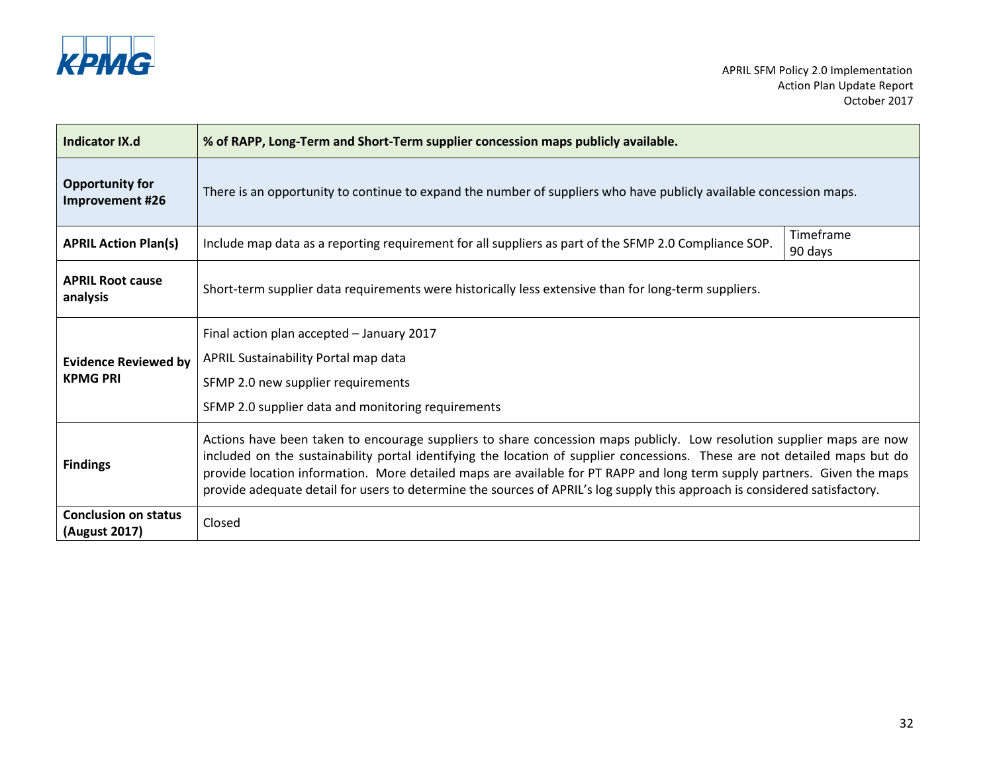

| <b>Indicator IX.d</b>                        | % of RAPP, Long-Term and Short-Term supplier concession maps publicly available.                                                                                                                                                                                                                                                                                                                                                                                                                               |                      |
|----------------------------------------------|----------------------------------------------------------------------------------------------------------------------------------------------------------------------------------------------------------------------------------------------------------------------------------------------------------------------------------------------------------------------------------------------------------------------------------------------------------------------------------------------------------------|----------------------|
| <b>Opportunity for</b><br>Improvement #26    | There is an opportunity to continue to expand the number of suppliers who have publicly available concession maps.                                                                                                                                                                                                                                                                                                                                                                                             |                      |
| <b>APRIL Action Plan(s)</b>                  | Include map data as a reporting requirement for all suppliers as part of the SFMP 2.0 Compliance SOP.                                                                                                                                                                                                                                                                                                                                                                                                          | Timeframe<br>90 days |
| <b>APRIL Root cause</b><br>analysis          | Short-term supplier data requirements were historically less extensive than for long-term suppliers.                                                                                                                                                                                                                                                                                                                                                                                                           |                      |
|                                              | Final action plan accepted - January 2017                                                                                                                                                                                                                                                                                                                                                                                                                                                                      |                      |
| <b>Evidence Reviewed by</b>                  | APRIL Sustainability Portal map data                                                                                                                                                                                                                                                                                                                                                                                                                                                                           |                      |
| <b>KPMG PRI</b>                              | SFMP 2.0 new supplier requirements                                                                                                                                                                                                                                                                                                                                                                                                                                                                             |                      |
|                                              | SFMP 2.0 supplier data and monitoring requirements                                                                                                                                                                                                                                                                                                                                                                                                                                                             |                      |
| <b>Findings</b>                              | Actions have been taken to encourage suppliers to share concession maps publicly. Low resolution supplier maps are now<br>included on the sustainability portal identifying the location of supplier concessions. These are not detailed maps but do<br>provide location information. More detailed maps are available for PT RAPP and long term supply partners. Given the maps<br>provide adequate detail for users to determine the sources of APRIL's log supply this approach is considered satisfactory. |                      |
| <b>Conclusion on status</b><br>(August 2017) | Closed                                                                                                                                                                                                                                                                                                                                                                                                                                                                                                         |                      |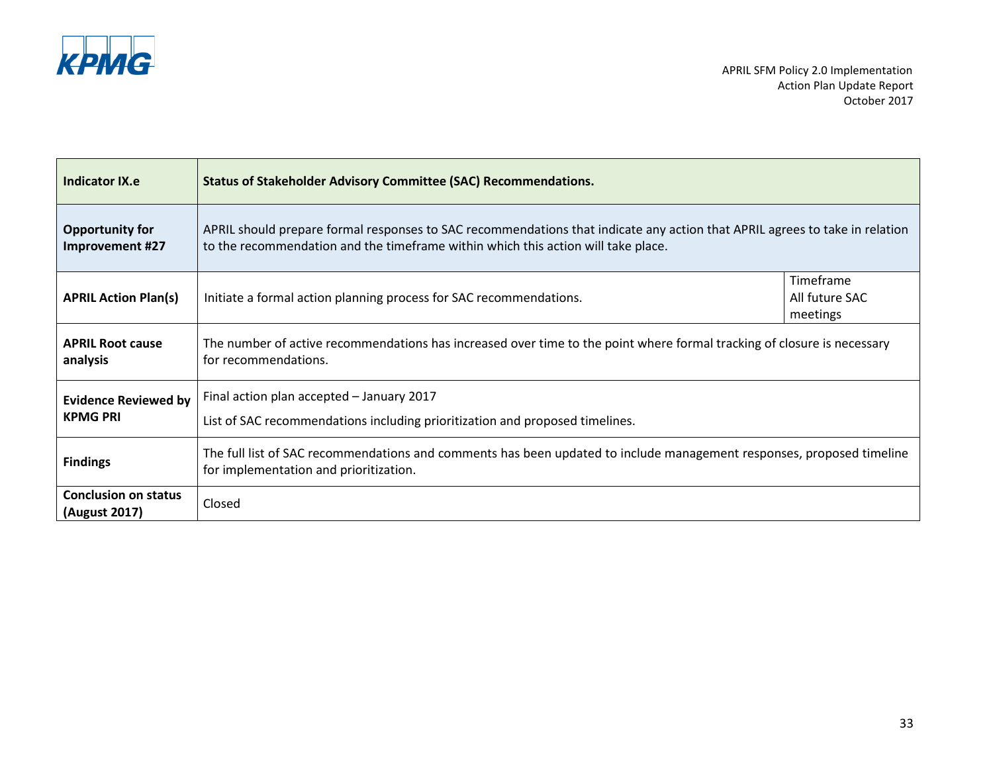

| <b>Indicator IX.e</b>                          | <b>Status of Stakeholder Advisory Committee (SAC) Recommendations.</b>                                                                                                                                           |                                         |
|------------------------------------------------|------------------------------------------------------------------------------------------------------------------------------------------------------------------------------------------------------------------|-----------------------------------------|
| <b>Opportunity for</b><br>Improvement #27      | APRIL should prepare formal responses to SAC recommendations that indicate any action that APRIL agrees to take in relation<br>to the recommendation and the timeframe within which this action will take place. |                                         |
| <b>APRIL Action Plan(s)</b>                    | Initiate a formal action planning process for SAC recommendations.                                                                                                                                               | Timeframe<br>All future SAC<br>meetings |
| <b>APRIL Root cause</b><br>analysis            | The number of active recommendations has increased over time to the point where formal tracking of closure is necessary<br>for recommendations.                                                                  |                                         |
| <b>Evidence Reviewed by</b><br><b>KPMG PRI</b> | Final action plan accepted - January 2017<br>List of SAC recommendations including prioritization and proposed timelines.                                                                                        |                                         |
| <b>Findings</b>                                | The full list of SAC recommendations and comments has been updated to include management responses, proposed timeline<br>for implementation and prioritization.                                                  |                                         |
| <b>Conclusion on status</b><br>(August 2017)   | Closed                                                                                                                                                                                                           |                                         |